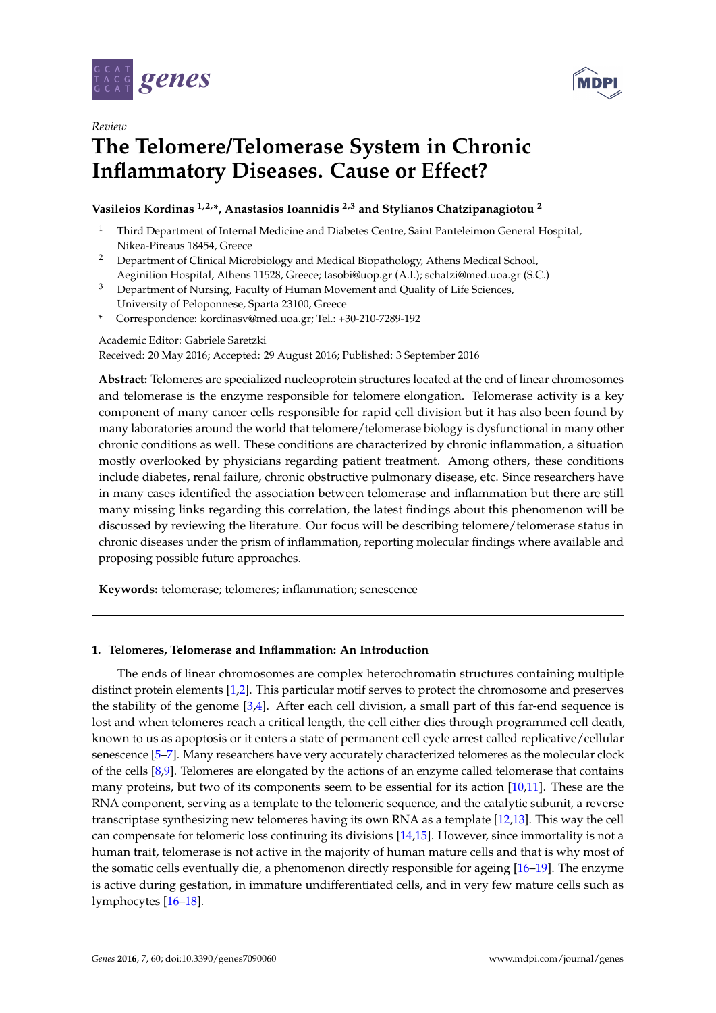

*Review*



# **The Telomere/Telomerase System in Chronic Inflammatory Diseases. Cause or Effect?**

# **Vasileios Kordinas 1,2,\*, Anastasios Ioannidis 2,3 and Stylianos Chatzipanagiotou <sup>2</sup>**

- <sup>1</sup> Third Department of Internal Medicine and Diabetes Centre, Saint Panteleimon General Hospital, Nikea-Pireaus 18454, Greece
- <sup>2</sup> Department of Clinical Microbiology and Medical Biopathology, Athens Medical School, Aeginition Hospital, Athens 11528, Greece; tasobi@uop.gr (A.I.); schatzi@med.uoa.gr (S.C.)
- <sup>3</sup> Department of Nursing, Faculty of Human Movement and Quality of Life Sciences, University of Peloponnese, Sparta 23100, Greece
- **\*** Correspondence: kordinasv@med.uoa.gr; Tel.: +30-210-7289-192

Academic Editor: Gabriele Saretzki

Received: 20 May 2016; Accepted: 29 August 2016; Published: 3 September 2016

**Abstract:** Telomeres are specialized nucleoprotein structures located at the end of linear chromosomes and telomerase is the enzyme responsible for telomere elongation. Telomerase activity is a key component of many cancer cells responsible for rapid cell division but it has also been found by many laboratories around the world that telomere/telomerase biology is dysfunctional in many other chronic conditions as well. These conditions are characterized by chronic inflammation, a situation mostly overlooked by physicians regarding patient treatment. Among others, these conditions include diabetes, renal failure, chronic obstructive pulmonary disease, etc. Since researchers have in many cases identified the association between telomerase and inflammation but there are still many missing links regarding this correlation, the latest findings about this phenomenon will be discussed by reviewing the literature. Our focus will be describing telomere/telomerase status in chronic diseases under the prism of inflammation, reporting molecular findings where available and proposing possible future approaches.

**Keywords:** telomerase; telomeres; inflammation; senescence

## **1. Telomeres, Telomerase and Inflammation: An Introduction**

The ends of linear chromosomes are complex heterochromatin structures containing multiple distinct protein elements [\[1,](#page-11-0)[2\]](#page-12-0). This particular motif serves to protect the chromosome and preserves the stability of the genome [\[3,](#page-12-1)[4\]](#page-12-2). After each cell division, a small part of this far-end sequence is lost and when telomeres reach a critical length, the cell either dies through programmed cell death, known to us as apoptosis or it enters a state of permanent cell cycle arrest called replicative/cellular senescence [\[5–](#page-12-3)[7\]](#page-12-4). Many researchers have very accurately characterized telomeres as the molecular clock of the cells [\[8](#page-12-5)[,9\]](#page-12-6). Telomeres are elongated by the actions of an enzyme called telomerase that contains many proteins, but two of its components seem to be essential for its action [\[10,](#page-12-7)[11\]](#page-12-8). These are the RNA component, serving as a template to the telomeric sequence, and the catalytic subunit, a reverse transcriptase synthesizing new telomeres having its own RNA as a template [\[12,](#page-12-9)[13\]](#page-12-10). This way the cell can compensate for telomeric loss continuing its divisions [\[14](#page-12-11)[,15\]](#page-12-12). However, since immortality is not a human trait, telomerase is not active in the majority of human mature cells and that is why most of the somatic cells eventually die, a phenomenon directly responsible for ageing [\[16](#page-12-13)[–19\]](#page-12-14). The enzyme is active during gestation, in immature undifferentiated cells, and in very few mature cells such as lymphocytes [\[16–](#page-12-13)[18\]](#page-12-15).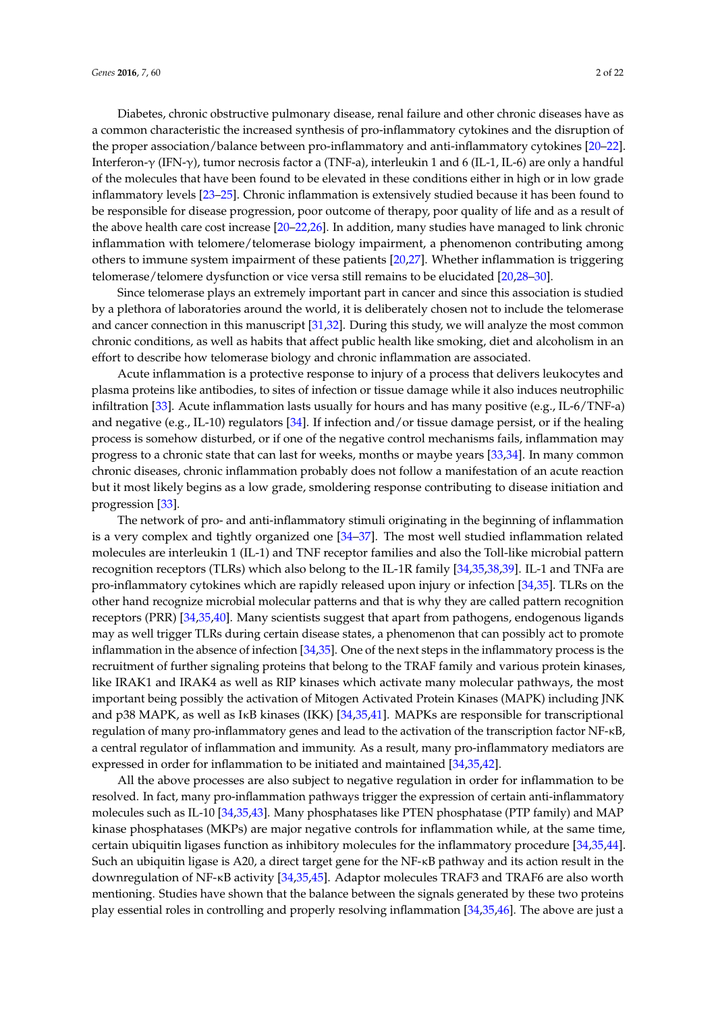Diabetes, chronic obstructive pulmonary disease, renal failure and other chronic diseases have as a common characteristic the increased synthesis of pro-inflammatory cytokines and the disruption of the proper association/balance between pro-inflammatory and anti-inflammatory cytokines [\[20–](#page-12-16)[22\]](#page-12-17). Interferon-γ (IFN-γ), tumor necrosis factor a (TNF-a), interleukin 1 and 6 (IL-1, IL-6) are only a handful of the molecules that have been found to be elevated in these conditions either in high or in low grade inflammatory levels [\[23–](#page-12-18)[25\]](#page-13-0). Chronic inflammation is extensively studied because it has been found to be responsible for disease progression, poor outcome of therapy, poor quality of life and as a result of the above health care cost increase [\[20–](#page-12-16)[22,](#page-12-17)[26\]](#page-13-1). In addition, many studies have managed to link chronic inflammation with telomere/telomerase biology impairment, a phenomenon contributing among

telomerase/telomere dysfunction or vice versa still remains to be elucidated [\[20,](#page-12-16)[28](#page-13-3)[–30\]](#page-13-4). Since telomerase plays an extremely important part in cancer and since this association is studied by a plethora of laboratories around the world, it is deliberately chosen not to include the telomerase and cancer connection in this manuscript [\[31](#page-13-5)[,32\]](#page-13-6). During this study, we will analyze the most common chronic conditions, as well as habits that affect public health like smoking, diet and alcoholism in an effort to describe how telomerase biology and chronic inflammation are associated.

others to immune system impairment of these patients [\[20](#page-12-16)[,27\]](#page-13-2). Whether inflammation is triggering

Acute inflammation is a protective response to injury of a process that delivers leukocytes and plasma proteins like antibodies, to sites of infection or tissue damage while it also induces neutrophilic infiltration [\[33\]](#page-13-7). Acute inflammation lasts usually for hours and has many positive (e.g., IL-6/TNF-a) and negative (e.g., IL-10) regulators [\[34\]](#page-13-8). If infection and/or tissue damage persist, or if the healing process is somehow disturbed, or if one of the negative control mechanisms fails, inflammation may progress to a chronic state that can last for weeks, months or maybe years [\[33](#page-13-7)[,34\]](#page-13-8). In many common chronic diseases, chronic inflammation probably does not follow a manifestation of an acute reaction but it most likely begins as a low grade, smoldering response contributing to disease initiation and progression [\[33\]](#page-13-7).

The network of pro- and anti-inflammatory stimuli originating in the beginning of inflammation is a very complex and tightly organized one [\[34–](#page-13-8)[37\]](#page-13-9). The most well studied inflammation related molecules are interleukin 1 (IL-1) and TNF receptor families and also the Toll-like microbial pattern recognition receptors (TLRs) which also belong to the IL-1R family [\[34](#page-13-8)[,35](#page-13-10)[,38](#page-13-11)[,39\]](#page-13-12). IL-1 and TNFa are pro-inflammatory cytokines which are rapidly released upon injury or infection [\[34](#page-13-8)[,35\]](#page-13-10). TLRs on the other hand recognize microbial molecular patterns and that is why they are called pattern recognition receptors (PRR) [\[34](#page-13-8)[,35](#page-13-10)[,40\]](#page-13-13). Many scientists suggest that apart from pathogens, endogenous ligands may as well trigger TLRs during certain disease states, a phenomenon that can possibly act to promote inflammation in the absence of infection [\[34,](#page-13-8)[35\]](#page-13-10). One of the next steps in the inflammatory process is the recruitment of further signaling proteins that belong to the TRAF family and various protein kinases, like IRAK1 and IRAK4 as well as RIP kinases which activate many molecular pathways, the most important being possibly the activation of Mitogen Activated Protein Kinases (MAPK) including JNK and p38 MAPK, as well as I<sub>KB</sub> kinases (IKK) [\[34](#page-13-8)[,35](#page-13-10)[,41\]](#page-13-14). MAPKs are responsible for transcriptional regulation of many pro-inflammatory genes and lead to the activation of the transcription factor NF-κB, a central regulator of inflammation and immunity. As a result, many pro-inflammatory mediators are expressed in order for inflammation to be initiated and maintained [\[34](#page-13-8)[,35](#page-13-10)[,42\]](#page-13-15).

All the above processes are also subject to negative regulation in order for inflammation to be resolved. In fact, many pro-inflammation pathways trigger the expression of certain anti-inflammatory molecules such as IL-10 [\[34](#page-13-8)[,35,](#page-13-10)[43\]](#page-13-16). Many phosphatases like PTEN phosphatase (PTP family) and MAP kinase phosphatases (MKPs) are major negative controls for inflammation while, at the same time, certain ubiquitin ligases function as inhibitory molecules for the inflammatory procedure [\[34,](#page-13-8)[35,](#page-13-10)[44\]](#page-13-17). Such an ubiquitin ligase is A20, a direct target gene for the NF- $\kappa$ B pathway and its action result in the downregulation of NF-κB activity [\[34,](#page-13-8)[35,](#page-13-10)[45\]](#page-13-18). Adaptor molecules TRAF3 and TRAF6 are also worth mentioning. Studies have shown that the balance between the signals generated by these two proteins play essential roles in controlling and properly resolving inflammation [\[34](#page-13-8)[,35,](#page-13-10)[46\]](#page-13-19). The above are just a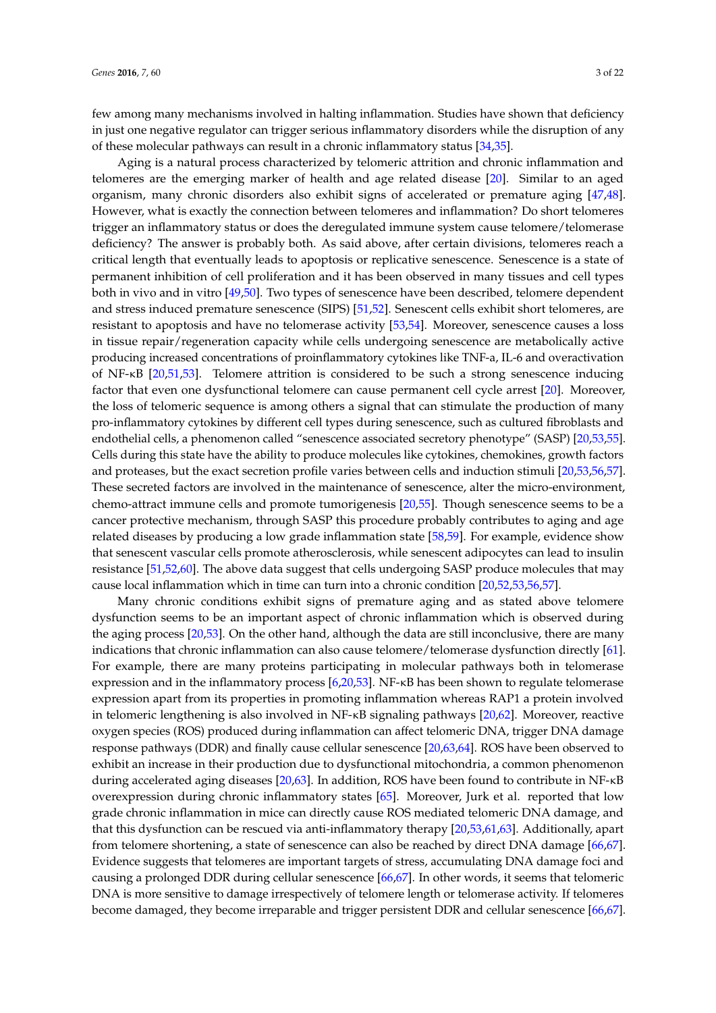few among many mechanisms involved in halting inflammation. Studies have shown that deficiency in just one negative regulator can trigger serious inflammatory disorders while the disruption of any of these molecular pathways can result in a chronic inflammatory status [\[34,](#page-13-8)[35\]](#page-13-10).

Aging is a natural process characterized by telomeric attrition and chronic inflammation and telomeres are the emerging marker of health and age related disease [\[20\]](#page-12-16). Similar to an aged organism, many chronic disorders also exhibit signs of accelerated or premature aging [\[47,](#page-13-20)[48\]](#page-13-21). However, what is exactly the connection between telomeres and inflammation? Do short telomeres trigger an inflammatory status or does the deregulated immune system cause telomere/telomerase deficiency? The answer is probably both. As said above, after certain divisions, telomeres reach a critical length that eventually leads to apoptosis or replicative senescence. Senescence is a state of permanent inhibition of cell proliferation and it has been observed in many tissues and cell types both in vivo and in vitro [\[49](#page-13-22)[,50\]](#page-13-23). Two types of senescence have been described, telomere dependent and stress induced premature senescence (SIPS) [\[51,](#page-14-0)[52\]](#page-14-1). Senescent cells exhibit short telomeres, are resistant to apoptosis and have no telomerase activity [\[53,](#page-14-2)[54\]](#page-14-3). Moreover, senescence causes a loss in tissue repair/regeneration capacity while cells undergoing senescence are metabolically active producing increased concentrations of proinflammatory cytokines like TNF-a, IL-6 and overactivation of NF-κB [\[20,](#page-12-16)[51](#page-14-0)[,53\]](#page-14-2). Telomere attrition is considered to be such a strong senescence inducing factor that even one dysfunctional telomere can cause permanent cell cycle arrest [\[20\]](#page-12-16). Moreover, the loss of telomeric sequence is among others a signal that can stimulate the production of many pro-inflammatory cytokines by different cell types during senescence, such as cultured fibroblasts and endothelial cells, a phenomenon called "senescence associated secretory phenotype" (SASP) [\[20](#page-12-16)[,53](#page-14-2)[,55\]](#page-14-4). Cells during this state have the ability to produce molecules like cytokines, chemokines, growth factors and proteases, but the exact secretion profile varies between cells and induction stimuli [\[20](#page-12-16)[,53,](#page-14-2)[56,](#page-14-5)[57\]](#page-14-6). These secreted factors are involved in the maintenance of senescence, alter the micro-environment, chemo-attract immune cells and promote tumorigenesis [\[20,](#page-12-16)[55\]](#page-14-4). Though senescence seems to be a cancer protective mechanism, through SASP this procedure probably contributes to aging and age related diseases by producing a low grade inflammation state [\[58](#page-14-7)[,59\]](#page-14-8). For example, evidence show that senescent vascular cells promote atherosclerosis, while senescent adipocytes can lead to insulin resistance [\[51,](#page-14-0)[52](#page-14-1)[,60\]](#page-14-9). The above data suggest that cells undergoing SASP produce molecules that may cause local inflammation which in time can turn into a chronic condition [\[20,](#page-12-16)[52,](#page-14-1)[53,](#page-14-2)[56,](#page-14-5)[57\]](#page-14-6).

Many chronic conditions exhibit signs of premature aging and as stated above telomere dysfunction seems to be an important aspect of chronic inflammation which is observed during the aging process [\[20,](#page-12-16)[53\]](#page-14-2). On the other hand, although the data are still inconclusive, there are many indications that chronic inflammation can also cause telomere/telomerase dysfunction directly [\[61\]](#page-14-10). For example, there are many proteins participating in molecular pathways both in telomerase expression and in the inflammatory process [\[6](#page-12-19)[,20](#page-12-16)[,53\]](#page-14-2). NF-κB has been shown to regulate telomerase expression apart from its properties in promoting inflammation whereas RAP1 a protein involved in telomeric lengthening is also involved in NF-κB signaling pathways [\[20,](#page-12-16)[62\]](#page-14-11). Moreover, reactive oxygen species (ROS) produced during inflammation can affect telomeric DNA, trigger DNA damage response pathways (DDR) and finally cause cellular senescence [\[20,](#page-12-16)[63,](#page-14-12)[64\]](#page-14-13). ROS have been observed to exhibit an increase in their production due to dysfunctional mitochondria, a common phenomenon during accelerated aging diseases [\[20](#page-12-16)[,63\]](#page-14-12). In addition, ROS have been found to contribute in NF-κB overexpression during chronic inflammatory states [\[65\]](#page-14-14). Moreover, Jurk et al. reported that low grade chronic inflammation in mice can directly cause ROS mediated telomeric DNA damage, and that this dysfunction can be rescued via anti-inflammatory therapy [\[20](#page-12-16)[,53](#page-14-2)[,61,](#page-14-10)[63\]](#page-14-12). Additionally, apart from telomere shortening, a state of senescence can also be reached by direct DNA damage [\[66,](#page-14-15)[67\]](#page-14-16). Evidence suggests that telomeres are important targets of stress, accumulating DNA damage foci and causing a prolonged DDR during cellular senescence [\[66](#page-14-15)[,67\]](#page-14-16). In other words, it seems that telomeric DNA is more sensitive to damage irrespectively of telomere length or telomerase activity. If telomeres become damaged, they become irreparable and trigger persistent DDR and cellular senescence [\[66](#page-14-15)[,67\]](#page-14-16).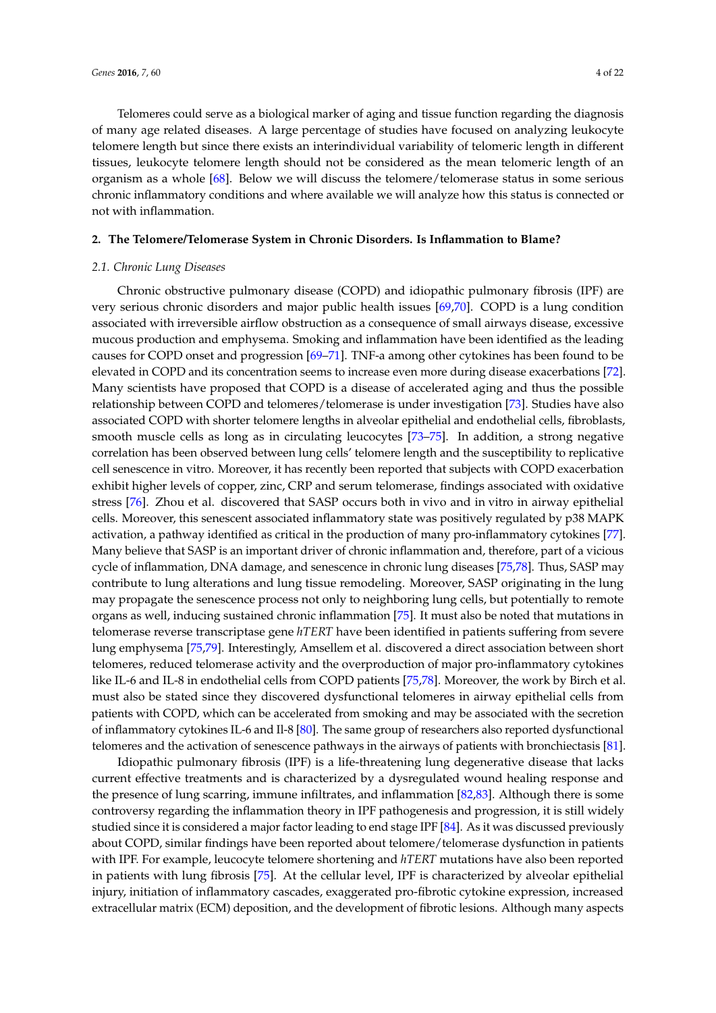Telomeres could serve as a biological marker of aging and tissue function regarding the diagnosis of many age related diseases. A large percentage of studies have focused on analyzing leukocyte telomere length but since there exists an interindividual variability of telomeric length in different tissues, leukocyte telomere length should not be considered as the mean telomeric length of an organism as a whole [\[68\]](#page-14-17). Below we will discuss the telomere/telomerase status in some serious chronic inflammatory conditions and where available we will analyze how this status is connected or not with inflammation.

## **2. The Telomere/Telomerase System in Chronic Disorders. Is Inflammation to Blame?**

## *2.1. Chronic Lung Diseases*

Chronic obstructive pulmonary disease (COPD) and idiopathic pulmonary fibrosis (IPF) are very serious chronic disorders and major public health issues [\[69](#page-14-18)[,70\]](#page-14-19). COPD is a lung condition associated with irreversible airflow obstruction as a consequence of small airways disease, excessive mucous production and emphysema. Smoking and inflammation have been identified as the leading causes for COPD onset and progression [\[69](#page-14-18)[–71\]](#page-14-20). TNF-a among other cytokines has been found to be elevated in COPD and its concentration seems to increase even more during disease exacerbations [\[72\]](#page-14-21). Many scientists have proposed that COPD is a disease of accelerated aging and thus the possible relationship between COPD and telomeres/telomerase is under investigation [\[73\]](#page-14-22). Studies have also associated COPD with shorter telomere lengths in alveolar epithelial and endothelial cells, fibroblasts, smooth muscle cells as long as in circulating leucocytes [\[73](#page-14-22)[–75\]](#page-14-23). In addition, a strong negative correlation has been observed between lung cells' telomere length and the susceptibility to replicative cell senescence in vitro. Moreover, it has recently been reported that subjects with COPD exacerbation exhibit higher levels of copper, zinc, CRP and serum telomerase, findings associated with oxidative stress [\[76\]](#page-15-0). Zhou et al. discovered that SASP occurs both in vivo and in vitro in airway epithelial cells. Moreover, this senescent associated inflammatory state was positively regulated by p38 MAPK activation, a pathway identified as critical in the production of many pro-inflammatory cytokines [\[77\]](#page-15-1). Many believe that SASP is an important driver of chronic inflammation and, therefore, part of a vicious cycle of inflammation, DNA damage, and senescence in chronic lung diseases [\[75](#page-14-23)[,78\]](#page-15-2). Thus, SASP may contribute to lung alterations and lung tissue remodeling. Moreover, SASP originating in the lung may propagate the senescence process not only to neighboring lung cells, but potentially to remote organs as well, inducing sustained chronic inflammation [\[75\]](#page-14-23). It must also be noted that mutations in telomerase reverse transcriptase gene *hTERT* have been identified in patients suffering from severe lung emphysema [\[75](#page-14-23)[,79\]](#page-15-3). Interestingly, Amsellem et al. discovered a direct association between short telomeres, reduced telomerase activity and the overproduction of major pro-inflammatory cytokines like IL-6 and IL-8 in endothelial cells from COPD patients [\[75](#page-14-23)[,78\]](#page-15-2). Moreover, the work by Birch et al. must also be stated since they discovered dysfunctional telomeres in airway epithelial cells from patients with COPD, which can be accelerated from smoking and may be associated with the secretion of inflammatory cytokines IL-6 and Il-8 [\[80\]](#page-15-4). The same group of researchers also reported dysfunctional telomeres and the activation of senescence pathways in the airways of patients with bronchiectasis [\[81\]](#page-15-5).

Idiopathic pulmonary fibrosis (IPF) is a life-threatening lung degenerative disease that lacks current effective treatments and is characterized by a dysregulated wound healing response and the presence of lung scarring, immune infiltrates, and inflammation [\[82](#page-15-6)[,83\]](#page-15-7). Although there is some controversy regarding the inflammation theory in IPF pathogenesis and progression, it is still widely studied since it is considered a major factor leading to end stage IPF [\[84\]](#page-15-8). As it was discussed previously about COPD, similar findings have been reported about telomere/telomerase dysfunction in patients with IPF. For example, leucocyte telomere shortening and *hTERT* mutations have also been reported in patients with lung fibrosis [\[75\]](#page-14-23). At the cellular level, IPF is characterized by alveolar epithelial injury, initiation of inflammatory cascades, exaggerated pro-fibrotic cytokine expression, increased extracellular matrix (ECM) deposition, and the development of fibrotic lesions. Although many aspects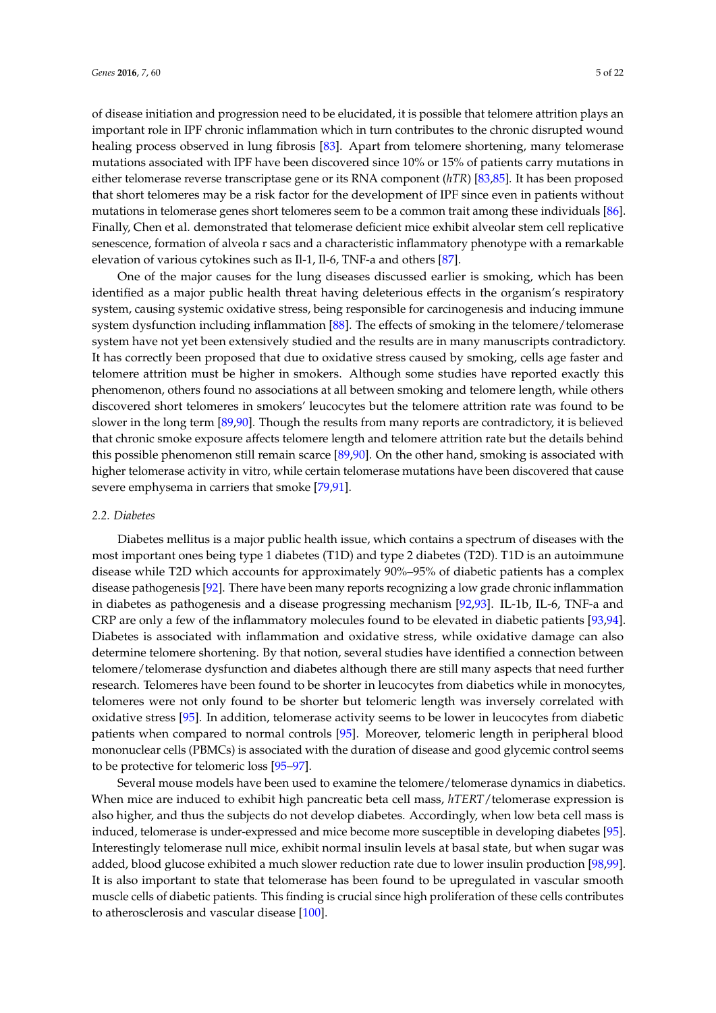of disease initiation and progression need to be elucidated, it is possible that telomere attrition plays an important role in IPF chronic inflammation which in turn contributes to the chronic disrupted wound healing process observed in lung fibrosis [\[83\]](#page-15-7). Apart from telomere shortening, many telomerase mutations associated with IPF have been discovered since 10% or 15% of patients carry mutations in either telomerase reverse transcriptase gene or its RNA component (*hTR*) [\[83,](#page-15-7)[85\]](#page-15-9). It has been proposed that short telomeres may be a risk factor for the development of IPF since even in patients without mutations in telomerase genes short telomeres seem to be a common trait among these individuals [\[86\]](#page-15-10). Finally, Chen et al. demonstrated that telomerase deficient mice exhibit alveolar stem cell replicative senescence, formation of alveola r sacs and a characteristic inflammatory phenotype with a remarkable elevation of various cytokines such as Il-1, Il-6, TNF-a and others [\[87\]](#page-15-11).

One of the major causes for the lung diseases discussed earlier is smoking, which has been identified as a major public health threat having deleterious effects in the organism's respiratory system, causing systemic oxidative stress, being responsible for carcinogenesis and inducing immune system dysfunction including inflammation [\[88\]](#page-15-12). The effects of smoking in the telomere/telomerase system have not yet been extensively studied and the results are in many manuscripts contradictory. It has correctly been proposed that due to oxidative stress caused by smoking, cells age faster and telomere attrition must be higher in smokers. Although some studies have reported exactly this phenomenon, others found no associations at all between smoking and telomere length, while others discovered short telomeres in smokers' leucocytes but the telomere attrition rate was found to be slower in the long term [\[89,](#page-15-13)[90\]](#page-15-14). Though the results from many reports are contradictory, it is believed that chronic smoke exposure affects telomere length and telomere attrition rate but the details behind this possible phenomenon still remain scarce [\[89,](#page-15-13)[90\]](#page-15-14). On the other hand, smoking is associated with higher telomerase activity in vitro, while certain telomerase mutations have been discovered that cause severe emphysema in carriers that smoke [\[79,](#page-15-3)[91\]](#page-15-15).

## *2.2. Diabetes*

Diabetes mellitus is a major public health issue, which contains a spectrum of diseases with the most important ones being type 1 diabetes (T1D) and type 2 diabetes (T2D). T1D is an autoimmune disease while T2D which accounts for approximately 90%–95% of diabetic patients has a complex disease pathogenesis [\[92\]](#page-15-16). There have been many reports recognizing a low grade chronic inflammation in diabetes as pathogenesis and a disease progressing mechanism [\[92](#page-15-16)[,93\]](#page-15-17). IL-1b, IL-6, TNF-a and CRP are only a few of the inflammatory molecules found to be elevated in diabetic patients [\[93,](#page-15-17)[94\]](#page-15-18). Diabetes is associated with inflammation and oxidative stress, while oxidative damage can also determine telomere shortening. By that notion, several studies have identified a connection between telomere/telomerase dysfunction and diabetes although there are still many aspects that need further research. Telomeres have been found to be shorter in leucocytes from diabetics while in monocytes, telomeres were not only found to be shorter but telomeric length was inversely correlated with oxidative stress [\[95\]](#page-15-19). In addition, telomerase activity seems to be lower in leucocytes from diabetic patients when compared to normal controls [\[95\]](#page-15-19). Moreover, telomeric length in peripheral blood mononuclear cells (PBMCs) is associated with the duration of disease and good glycemic control seems to be protective for telomeric loss [\[95–](#page-15-19)[97\]](#page-16-0).

Several mouse models have been used to examine the telomere/telomerase dynamics in diabetics. When mice are induced to exhibit high pancreatic beta cell mass, *hTERT*/telomerase expression is also higher, and thus the subjects do not develop diabetes. Accordingly, when low beta cell mass is induced, telomerase is under-expressed and mice become more susceptible in developing diabetes [\[95\]](#page-15-19). Interestingly telomerase null mice, exhibit normal insulin levels at basal state, but when sugar was added, blood glucose exhibited a much slower reduction rate due to lower insulin production [\[98](#page-16-1)[,99\]](#page-16-2). It is also important to state that telomerase has been found to be upregulated in vascular smooth muscle cells of diabetic patients. This finding is crucial since high proliferation of these cells contributes to atherosclerosis and vascular disease [\[100\]](#page-16-3).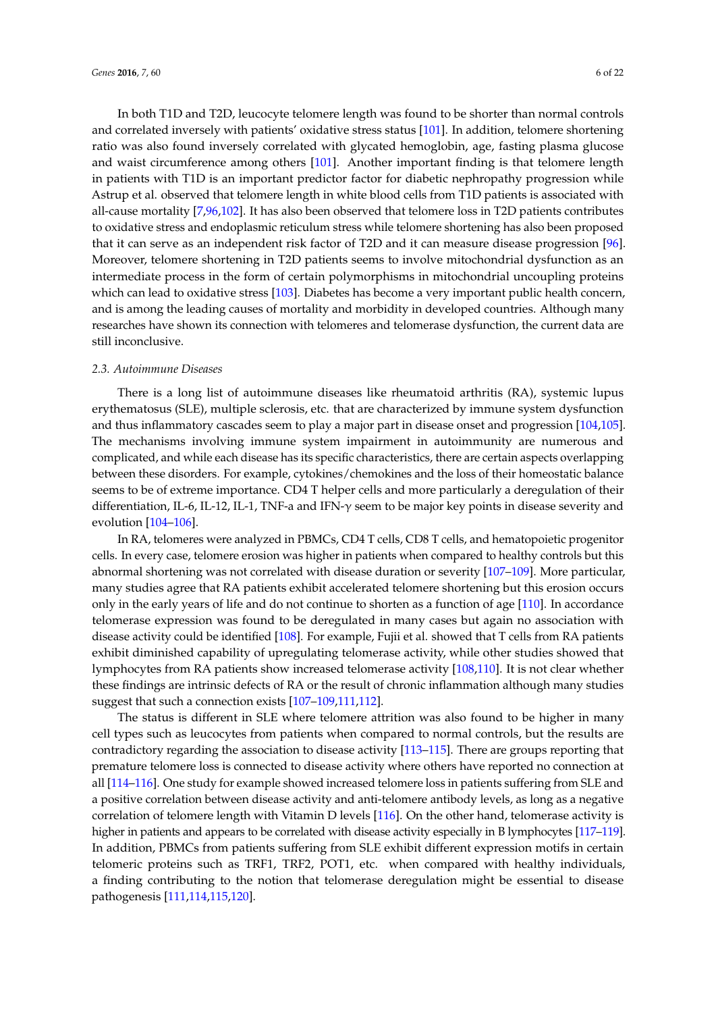In both T1D and T2D, leucocyte telomere length was found to be shorter than normal controls and correlated inversely with patients' oxidative stress status [\[101\]](#page-16-4). In addition, telomere shortening ratio was also found inversely correlated with glycated hemoglobin, age, fasting plasma glucose and waist circumference among others [\[101\]](#page-16-4). Another important finding is that telomere length in patients with T1D is an important predictor factor for diabetic nephropathy progression while Astrup et al. observed that telomere length in white blood cells from T1D patients is associated with all-cause mortality [\[7](#page-12-4)[,96](#page-15-20)[,102\]](#page-16-5). It has also been observed that telomere loss in T2D patients contributes to oxidative stress and endoplasmic reticulum stress while telomere shortening has also been proposed that it can serve as an independent risk factor of T2D and it can measure disease progression [\[96\]](#page-15-20). Moreover, telomere shortening in T2D patients seems to involve mitochondrial dysfunction as an intermediate process in the form of certain polymorphisms in mitochondrial uncoupling proteins which can lead to oxidative stress [\[103\]](#page-16-6). Diabetes has become a very important public health concern, and is among the leading causes of mortality and morbidity in developed countries. Although many researches have shown its connection with telomeres and telomerase dysfunction, the current data are still inconclusive.

#### *2.3. Autoimmune Diseases*

There is a long list of autoimmune diseases like rheumatoid arthritis (RA), systemic lupus erythematosus (SLE), multiple sclerosis, etc. that are characterized by immune system dysfunction and thus inflammatory cascades seem to play a major part in disease onset and progression [\[104](#page-16-7)[,105\]](#page-16-8). The mechanisms involving immune system impairment in autoimmunity are numerous and complicated, and while each disease has its specific characteristics, there are certain aspects overlapping between these disorders. For example, cytokines/chemokines and the loss of their homeostatic balance seems to be of extreme importance. CD4 T helper cells and more particularly a deregulation of their differentiation, IL-6, IL-12, IL-1, TNF-a and IFN-γ seem to be major key points in disease severity and evolution [\[104](#page-16-7)[–106\]](#page-16-9).

In RA, telomeres were analyzed in PBMCs, CD4 T cells, CD8 T cells, and hematopoietic progenitor cells. In every case, telomere erosion was higher in patients when compared to healthy controls but this abnormal shortening was not correlated with disease duration or severity [\[107](#page-16-10)[–109\]](#page-16-11). More particular, many studies agree that RA patients exhibit accelerated telomere shortening but this erosion occurs only in the early years of life and do not continue to shorten as a function of age [\[110\]](#page-16-12). In accordance telomerase expression was found to be deregulated in many cases but again no association with disease activity could be identified [\[108\]](#page-16-13). For example, Fujii et al. showed that T cells from RA patients exhibit diminished capability of upregulating telomerase activity, while other studies showed that lymphocytes from RA patients show increased telomerase activity [\[108](#page-16-13)[,110\]](#page-16-12). It is not clear whether these findings are intrinsic defects of RA or the result of chronic inflammation although many studies suggest that such a connection exists [\[107–](#page-16-10)[109](#page-16-11)[,111](#page-16-14)[,112\]](#page-16-15).

The status is different in SLE where telomere attrition was also found to be higher in many cell types such as leucocytes from patients when compared to normal controls, but the results are contradictory regarding the association to disease activity [\[113](#page-16-16)[–115\]](#page-16-17). There are groups reporting that premature telomere loss is connected to disease activity where others have reported no connection at all [\[114](#page-16-18)[–116\]](#page-16-19). One study for example showed increased telomere loss in patients suffering from SLE and a positive correlation between disease activity and anti-telomere antibody levels, as long as a negative correlation of telomere length with Vitamin D levels [\[116\]](#page-16-19). On the other hand, telomerase activity is higher in patients and appears to be correlated with disease activity especially in B lymphocytes [\[117–](#page-17-0)[119\]](#page-17-1). In addition, PBMCs from patients suffering from SLE exhibit different expression motifs in certain telomeric proteins such as TRF1, TRF2, POT1, etc. when compared with healthy individuals, a finding contributing to the notion that telomerase deregulation might be essential to disease pathogenesis [\[111,](#page-16-14)[114,](#page-16-18)[115,](#page-16-17)[120\]](#page-17-2).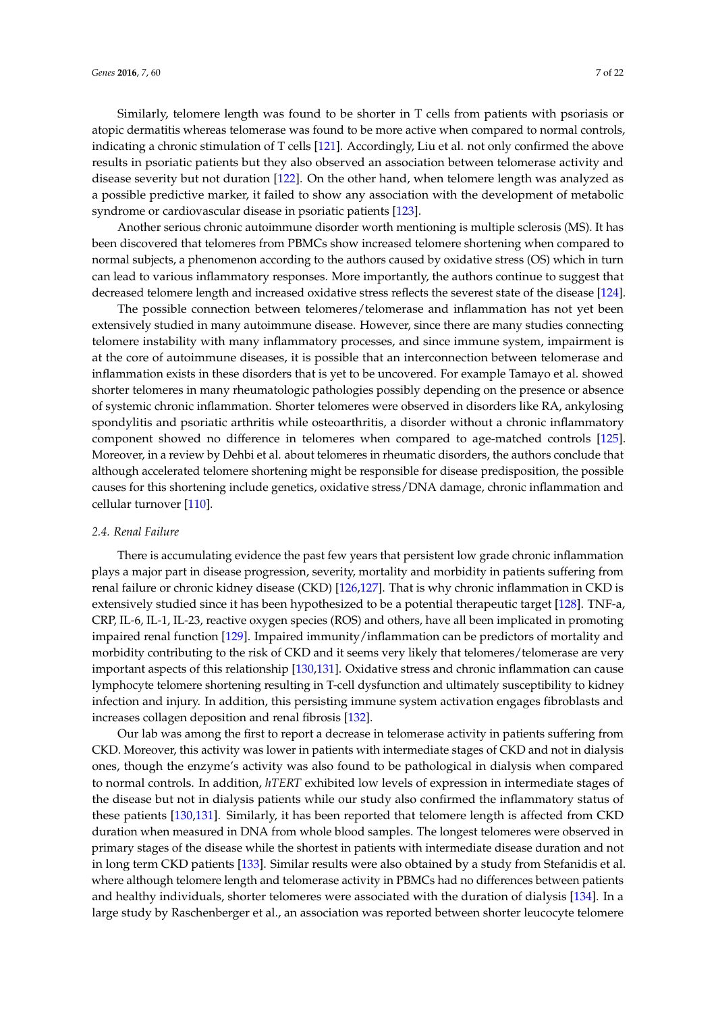Similarly, telomere length was found to be shorter in T cells from patients with psoriasis or atopic dermatitis whereas telomerase was found to be more active when compared to normal controls, indicating a chronic stimulation of T cells [\[121\]](#page-17-3). Accordingly, Liu et al. not only confirmed the above results in psoriatic patients but they also observed an association between telomerase activity and disease severity but not duration [\[122\]](#page-17-4). On the other hand, when telomere length was analyzed as a possible predictive marker, it failed to show any association with the development of metabolic syndrome or cardiovascular disease in psoriatic patients [\[123\]](#page-17-5).

Another serious chronic autoimmune disorder worth mentioning is multiple sclerosis (MS). It has been discovered that telomeres from PBMCs show increased telomere shortening when compared to normal subjects, a phenomenon according to the authors caused by oxidative stress (OS) which in turn can lead to various inflammatory responses. More importantly, the authors continue to suggest that decreased telomere length and increased oxidative stress reflects the severest state of the disease [\[124\]](#page-17-6).

The possible connection between telomeres/telomerase and inflammation has not yet been extensively studied in many autoimmune disease. However, since there are many studies connecting telomere instability with many inflammatory processes, and since immune system, impairment is at the core of autoimmune diseases, it is possible that an interconnection between telomerase and inflammation exists in these disorders that is yet to be uncovered. For example Tamayo et al. showed shorter telomeres in many rheumatologic pathologies possibly depending on the presence or absence of systemic chronic inflammation. Shorter telomeres were observed in disorders like RA, ankylosing spondylitis and psoriatic arthritis while osteoarthritis, a disorder without a chronic inflammatory component showed no difference in telomeres when compared to age-matched controls [\[125\]](#page-17-7). Moreover, in a review by Dehbi et al. about telomeres in rheumatic disorders, the authors conclude that although accelerated telomere shortening might be responsible for disease predisposition, the possible causes for this shortening include genetics, oxidative stress/DNA damage, chronic inflammation and cellular turnover [\[110\]](#page-16-12).

## *2.4. Renal Failure*

There is accumulating evidence the past few years that persistent low grade chronic inflammation plays a major part in disease progression, severity, mortality and morbidity in patients suffering from renal failure or chronic kidney disease (CKD) [\[126,](#page-17-8)[127\]](#page-17-9). That is why chronic inflammation in CKD is extensively studied since it has been hypothesized to be a potential therapeutic target [\[128\]](#page-17-10). TNF-a, CRP, IL-6, IL-1, IL-23, reactive oxygen species (ROS) and others, have all been implicated in promoting impaired renal function [\[129\]](#page-17-11). Impaired immunity/inflammation can be predictors of mortality and morbidity contributing to the risk of CKD and it seems very likely that telomeres/telomerase are very important aspects of this relationship [\[130](#page-17-12)[,131\]](#page-17-13). Oxidative stress and chronic inflammation can cause lymphocyte telomere shortening resulting in T-cell dysfunction and ultimately susceptibility to kidney infection and injury. In addition, this persisting immune system activation engages fibroblasts and increases collagen deposition and renal fibrosis [\[132\]](#page-17-14).

Our lab was among the first to report a decrease in telomerase activity in patients suffering from CKD. Moreover, this activity was lower in patients with intermediate stages of CKD and not in dialysis ones, though the enzyme's activity was also found to be pathological in dialysis when compared to normal controls. In addition, *hTERT* exhibited low levels of expression in intermediate stages of the disease but not in dialysis patients while our study also confirmed the inflammatory status of these patients [\[130,](#page-17-12)[131\]](#page-17-13). Similarly, it has been reported that telomere length is affected from CKD duration when measured in DNA from whole blood samples. The longest telomeres were observed in primary stages of the disease while the shortest in patients with intermediate disease duration and not in long term CKD patients [\[133\]](#page-17-15). Similar results were also obtained by a study from Stefanidis et al. where although telomere length and telomerase activity in PBMCs had no differences between patients and healthy individuals, shorter telomeres were associated with the duration of dialysis [\[134\]](#page-17-16). In a large study by Raschenberger et al., an association was reported between shorter leucocyte telomere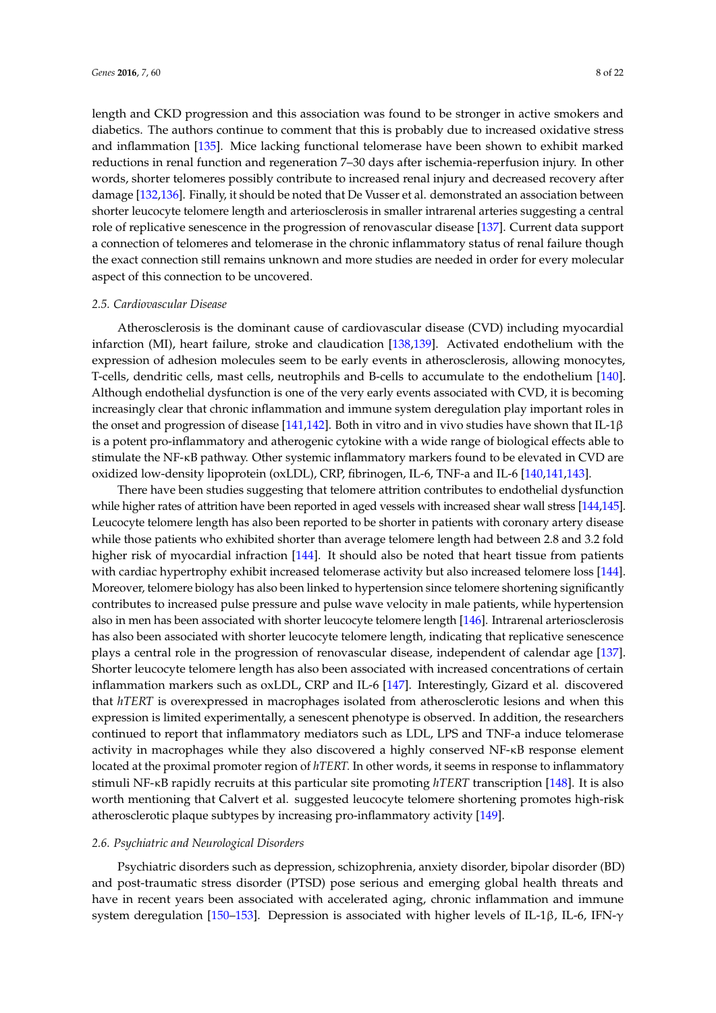length and CKD progression and this association was found to be stronger in active smokers and diabetics. The authors continue to comment that this is probably due to increased oxidative stress and inflammation [\[135\]](#page-17-17). Mice lacking functional telomerase have been shown to exhibit marked reductions in renal function and regeneration 7–30 days after ischemia-reperfusion injury. In other words, shorter telomeres possibly contribute to increased renal injury and decreased recovery after damage [\[132](#page-17-14)[,136\]](#page-18-0). Finally, it should be noted that De Vusser et al. demonstrated an association between shorter leucocyte telomere length and arteriosclerosis in smaller intrarenal arteries suggesting a central role of replicative senescence in the progression of renovascular disease [\[137\]](#page-18-1). Current data support a connection of telomeres and telomerase in the chronic inflammatory status of renal failure though the exact connection still remains unknown and more studies are needed in order for every molecular aspect of this connection to be uncovered.

## *2.5. Cardiovascular Disease*

Atherosclerosis is the dominant cause of cardiovascular disease (CVD) including myocardial infarction (MI), heart failure, stroke and claudication [\[138](#page-18-2)[,139\]](#page-18-3). Activated endothelium with the expression of adhesion molecules seem to be early events in atherosclerosis, allowing monocytes, T-cells, dendritic cells, mast cells, neutrophils and B-cells to accumulate to the endothelium [\[140\]](#page-18-4). Although endothelial dysfunction is one of the very early events associated with CVD, it is becoming increasingly clear that chronic inflammation and immune system deregulation play important roles in the onset and progression of disease [\[141,](#page-18-5)[142\]](#page-18-6). Both in vitro and in vivo studies have shown that IL-1 $\beta$ is a potent pro-inflammatory and atherogenic cytokine with a wide range of biological effects able to stimulate the NF-κB pathway. Other systemic inflammatory markers found to be elevated in CVD are oxidized low-density lipoprotein (oxLDL), CRP, fibrinogen, IL-6, TNF-a and IL-6 [\[140](#page-18-4)[,141](#page-18-5)[,143\]](#page-18-7).

There have been studies suggesting that telomere attrition contributes to endothelial dysfunction while higher rates of attrition have been reported in aged vessels with increased shear wall stress [\[144](#page-18-8)[,145\]](#page-18-9). Leucocyte telomere length has also been reported to be shorter in patients with coronary artery disease while those patients who exhibited shorter than average telomere length had between 2.8 and 3.2 fold higher risk of myocardial infraction [\[144\]](#page-18-8). It should also be noted that heart tissue from patients with cardiac hypertrophy exhibit increased telomerase activity but also increased telomere loss [\[144\]](#page-18-8). Moreover, telomere biology has also been linked to hypertension since telomere shortening significantly contributes to increased pulse pressure and pulse wave velocity in male patients, while hypertension also in men has been associated with shorter leucocyte telomere length [\[146\]](#page-18-10). Intrarenal arteriosclerosis has also been associated with shorter leucocyte telomere length, indicating that replicative senescence plays a central role in the progression of renovascular disease, independent of calendar age [\[137\]](#page-18-1). Shorter leucocyte telomere length has also been associated with increased concentrations of certain inflammation markers such as oxLDL, CRP and IL-6 [\[147\]](#page-18-11). Interestingly, Gizard et al. discovered that *hTERT* is overexpressed in macrophages isolated from atherosclerotic lesions and when this expression is limited experimentally, a senescent phenotype is observed. In addition, the researchers continued to report that inflammatory mediators such as LDL, LPS and TNF-a induce telomerase activity in macrophages while they also discovered a highly conserved NF-κB response element located at the proximal promoter region of *hTERT.* In other words, it seems in response to inflammatory stimuli NF-κB rapidly recruits at this particular site promoting *hTERT* transcription [\[148\]](#page-18-12). It is also worth mentioning that Calvert et al. suggested leucocyte telomere shortening promotes high-risk atherosclerotic plaque subtypes by increasing pro-inflammatory activity [\[149\]](#page-18-13).

#### *2.6. Psychiatric and Neurological Disorders*

Psychiatric disorders such as depression, schizophrenia, anxiety disorder, bipolar disorder (BD) and post-traumatic stress disorder (PTSD) pose serious and emerging global health threats and have in recent years been associated with accelerated aging, chronic inflammation and immune system deregulation [\[150–](#page-18-14)[153\]](#page-18-15). Depression is associated with higher levels of IL-1β, IL-6, IFN-γ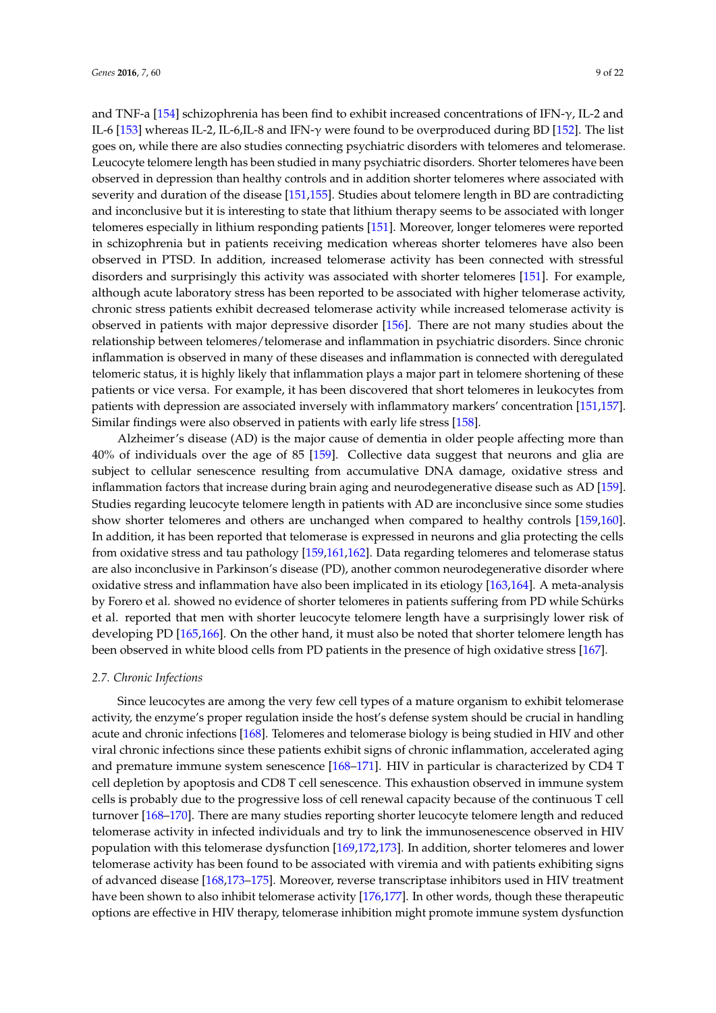and TNF-a [\[154\]](#page-18-16) schizophrenia has been find to exhibit increased concentrations of IFN- $\gamma$ , IL-2 and IL-6 [\[153\]](#page-18-15) whereas IL-2, IL-6,IL-8 and IFN- $\gamma$  were found to be overproduced during BD [\[152\]](#page-18-17). The list goes on, while there are also studies connecting psychiatric disorders with telomeres and telomerase. Leucocyte telomere length has been studied in many psychiatric disorders. Shorter telomeres have been observed in depression than healthy controls and in addition shorter telomeres where associated with severity and duration of the disease [\[151,](#page-18-18)[155\]](#page-18-19). Studies about telomere length in BD are contradicting and inconclusive but it is interesting to state that lithium therapy seems to be associated with longer telomeres especially in lithium responding patients [\[151\]](#page-18-18). Moreover, longer telomeres were reported in schizophrenia but in patients receiving medication whereas shorter telomeres have also been observed in PTSD. In addition, increased telomerase activity has been connected with stressful disorders and surprisingly this activity was associated with shorter telomeres [\[151\]](#page-18-18). For example, although acute laboratory stress has been reported to be associated with higher telomerase activity, chronic stress patients exhibit decreased telomerase activity while increased telomerase activity is observed in patients with major depressive disorder [\[156\]](#page-19-0). There are not many studies about the relationship between telomeres/telomerase and inflammation in psychiatric disorders. Since chronic inflammation is observed in many of these diseases and inflammation is connected with deregulated telomeric status, it is highly likely that inflammation plays a major part in telomere shortening of these patients or vice versa. For example, it has been discovered that short telomeres in leukocytes from patients with depression are associated inversely with inflammatory markers' concentration [\[151](#page-18-18)[,157\]](#page-19-1). Similar findings were also observed in patients with early life stress [\[158\]](#page-19-2).

Alzheimer's disease (AD) is the major cause of dementia in older people affecting more than 40% of individuals over the age of 85 [\[159\]](#page-19-3). Collective data suggest that neurons and glia are subject to cellular senescence resulting from accumulative DNA damage, oxidative stress and inflammation factors that increase during brain aging and neurodegenerative disease such as AD [\[159\]](#page-19-3). Studies regarding leucocyte telomere length in patients with AD are inconclusive since some studies show shorter telomeres and others are unchanged when compared to healthy controls [\[159,](#page-19-3)[160\]](#page-19-4). In addition, it has been reported that telomerase is expressed in neurons and glia protecting the cells from oxidative stress and tau pathology [\[159,](#page-19-3)[161,](#page-19-5)[162\]](#page-19-6). Data regarding telomeres and telomerase status are also inconclusive in Parkinson's disease (PD), another common neurodegenerative disorder where oxidative stress and inflammation have also been implicated in its etiology [\[163](#page-19-7)[,164\]](#page-19-8). A meta-analysis by Forero et al. showed no evidence of shorter telomeres in patients suffering from PD while Schürks et al. reported that men with shorter leucocyte telomere length have a surprisingly lower risk of developing PD [\[165](#page-19-9)[,166\]](#page-19-10). On the other hand, it must also be noted that shorter telomere length has been observed in white blood cells from PD patients in the presence of high oxidative stress [\[167\]](#page-19-11).

## *2.7. Chronic Infections*

Since leucocytes are among the very few cell types of a mature organism to exhibit telomerase activity, the enzyme's proper regulation inside the host's defense system should be crucial in handling acute and chronic infections [\[168\]](#page-19-12). Telomeres and telomerase biology is being studied in HIV and other viral chronic infections since these patients exhibit signs of chronic inflammation, accelerated aging and premature immune system senescence [\[168](#page-19-12)[–171\]](#page-19-13). HIV in particular is characterized by CD4 T cell depletion by apoptosis and CD8 T cell senescence. This exhaustion observed in immune system cells is probably due to the progressive loss of cell renewal capacity because of the continuous T cell turnover [\[168](#page-19-12)[–170\]](#page-19-14). There are many studies reporting shorter leucocyte telomere length and reduced telomerase activity in infected individuals and try to link the immunosenescence observed in HIV population with this telomerase dysfunction [\[169,](#page-19-15)[172,](#page-19-16)[173\]](#page-19-17). In addition, shorter telomeres and lower telomerase activity has been found to be associated with viremia and with patients exhibiting signs of advanced disease [\[168,](#page-19-12)[173–](#page-19-17)[175\]](#page-20-0). Moreover, reverse transcriptase inhibitors used in HIV treatment have been shown to also inhibit telomerase activity [\[176](#page-20-1)[,177\]](#page-20-2). In other words, though these therapeutic options are effective in HIV therapy, telomerase inhibition might promote immune system dysfunction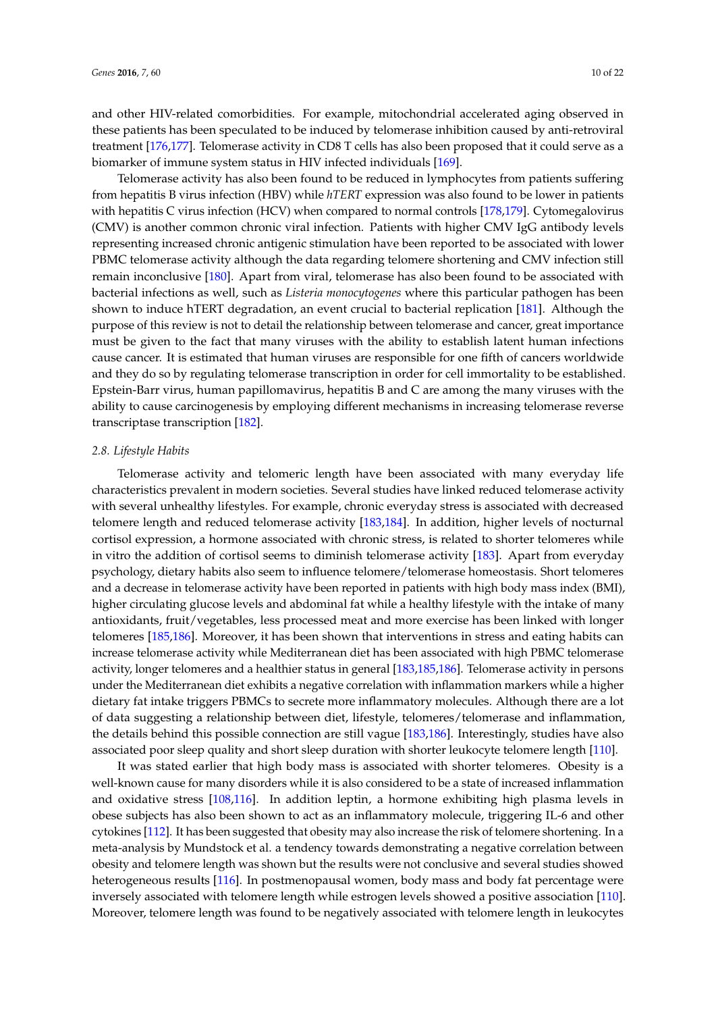and other HIV-related comorbidities. For example, mitochondrial accelerated aging observed in these patients has been speculated to be induced by telomerase inhibition caused by anti-retroviral treatment [\[176,](#page-20-1)[177\]](#page-20-2). Telomerase activity in CD8 T cells has also been proposed that it could serve as a biomarker of immune system status in HIV infected individuals [\[169\]](#page-19-15).

Telomerase activity has also been found to be reduced in lymphocytes from patients suffering from hepatitis B virus infection (HBV) while *hTERT* expression was also found to be lower in patients with hepatitis C virus infection (HCV) when compared to normal controls [\[178](#page-20-3)[,179\]](#page-20-4). Cytomegalovirus (CMV) is another common chronic viral infection. Patients with higher CMV IgG antibody levels representing increased chronic antigenic stimulation have been reported to be associated with lower PBMC telomerase activity although the data regarding telomere shortening and CMV infection still remain inconclusive [\[180\]](#page-20-5). Apart from viral, telomerase has also been found to be associated with bacterial infections as well, such as *Listeria monocytogenes* where this particular pathogen has been shown to induce hTERT degradation, an event crucial to bacterial replication [\[181\]](#page-20-6). Although the purpose of this review is not to detail the relationship between telomerase and cancer, great importance must be given to the fact that many viruses with the ability to establish latent human infections cause cancer. It is estimated that human viruses are responsible for one fifth of cancers worldwide and they do so by regulating telomerase transcription in order for cell immortality to be established. Epstein-Barr virus, human papillomavirus, hepatitis B and C are among the many viruses with the ability to cause carcinogenesis by employing different mechanisms in increasing telomerase reverse transcriptase transcription [\[182\]](#page-20-7).

#### *2.8. Lifestyle Habits*

Telomerase activity and telomeric length have been associated with many everyday life characteristics prevalent in modern societies. Several studies have linked reduced telomerase activity with several unhealthy lifestyles. For example, chronic everyday stress is associated with decreased telomere length and reduced telomerase activity [\[183](#page-20-8)[,184\]](#page-20-9). In addition, higher levels of nocturnal cortisol expression, a hormone associated with chronic stress, is related to shorter telomeres while in vitro the addition of cortisol seems to diminish telomerase activity [\[183\]](#page-20-8). Apart from everyday psychology, dietary habits also seem to influence telomere/telomerase homeostasis. Short telomeres and a decrease in telomerase activity have been reported in patients with high body mass index (BMI), higher circulating glucose levels and abdominal fat while a healthy lifestyle with the intake of many antioxidants, fruit/vegetables, less processed meat and more exercise has been linked with longer telomeres [\[185,](#page-20-10)[186\]](#page-20-11). Moreover, it has been shown that interventions in stress and eating habits can increase telomerase activity while Mediterranean diet has been associated with high PBMC telomerase activity, longer telomeres and a healthier status in general [\[183](#page-20-8)[,185](#page-20-10)[,186\]](#page-20-11). Telomerase activity in persons under the Mediterranean diet exhibits a negative correlation with inflammation markers while a higher dietary fat intake triggers PBMCs to secrete more inflammatory molecules. Although there are a lot of data suggesting a relationship between diet, lifestyle, telomeres/telomerase and inflammation, the details behind this possible connection are still vague [\[183](#page-20-8)[,186\]](#page-20-11). Interestingly, studies have also associated poor sleep quality and short sleep duration with shorter leukocyte telomere length [\[110\]](#page-16-12).

It was stated earlier that high body mass is associated with shorter telomeres. Obesity is a well-known cause for many disorders while it is also considered to be a state of increased inflammation and oxidative stress [\[108,](#page-16-13)[116\]](#page-16-19). In addition leptin, a hormone exhibiting high plasma levels in obese subjects has also been shown to act as an inflammatory molecule, triggering IL-6 and other cytokines [\[112\]](#page-16-15). It has been suggested that obesity may also increase the risk of telomere shortening. In a meta-analysis by Mundstock et al. a tendency towards demonstrating a negative correlation between obesity and telomere length was shown but the results were not conclusive and several studies showed heterogeneous results [\[116\]](#page-16-19). In postmenopausal women, body mass and body fat percentage were inversely associated with telomere length while estrogen levels showed a positive association [\[110\]](#page-16-12). Moreover, telomere length was found to be negatively associated with telomere length in leukocytes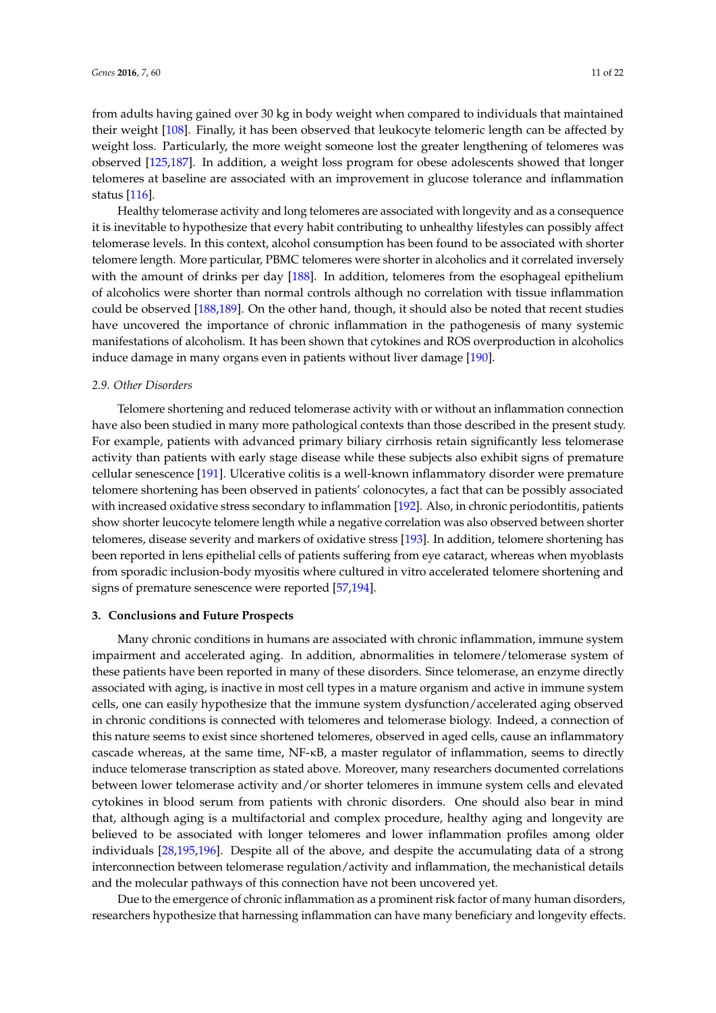from adults having gained over 30 kg in body weight when compared to individuals that maintained their weight [\[108\]](#page-16-13). Finally, it has been observed that leukocyte telomeric length can be affected by weight loss. Particularly, the more weight someone lost the greater lengthening of telomeres was observed [\[125](#page-17-7)[,187\]](#page-20-12). In addition, a weight loss program for obese adolescents showed that longer telomeres at baseline are associated with an improvement in glucose tolerance and inflammation status [\[116\]](#page-16-19).

Healthy telomerase activity and long telomeres are associated with longevity and as a consequence it is inevitable to hypothesize that every habit contributing to unhealthy lifestyles can possibly affect telomerase levels. In this context, alcohol consumption has been found to be associated with shorter telomere length. More particular, PBMC telomeres were shorter in alcoholics and it correlated inversely with the amount of drinks per day [\[188\]](#page-20-13). In addition, telomeres from the esophageal epithelium of alcoholics were shorter than normal controls although no correlation with tissue inflammation could be observed [\[188,](#page-20-13)[189\]](#page-20-14). On the other hand, though, it should also be noted that recent studies have uncovered the importance of chronic inflammation in the pathogenesis of many systemic manifestations of alcoholism. It has been shown that cytokines and ROS overproduction in alcoholics induce damage in many organs even in patients without liver damage [\[190\]](#page-20-15).

#### *2.9. Other Disorders*

Telomere shortening and reduced telomerase activity with or without an inflammation connection have also been studied in many more pathological contexts than those described in the present study. For example, patients with advanced primary biliary cirrhosis retain significantly less telomerase activity than patients with early stage disease while these subjects also exhibit signs of premature cellular senescence [\[191\]](#page-20-16). Ulcerative colitis is a well-known inflammatory disorder were premature telomere shortening has been observed in patients' colonocytes, a fact that can be possibly associated with increased oxidative stress secondary to inflammation [\[192\]](#page-20-17). Also, in chronic periodontitis, patients show shorter leucocyte telomere length while a negative correlation was also observed between shorter telomeres, disease severity and markers of oxidative stress [\[193\]](#page-20-18). In addition, telomere shortening has been reported in lens epithelial cells of patients suffering from eye cataract, whereas when myoblasts from sporadic inclusion-body myositis where cultured in vitro accelerated telomere shortening and signs of premature senescence were reported [\[57](#page-14-6)[,194\]](#page-21-0).

## **3. Conclusions and Future Prospects**

Many chronic conditions in humans are associated with chronic inflammation, immune system impairment and accelerated aging. In addition, abnormalities in telomere/telomerase system of these patients have been reported in many of these disorders. Since telomerase, an enzyme directly associated with aging, is inactive in most cell types in a mature organism and active in immune system cells, one can easily hypothesize that the immune system dysfunction/accelerated aging observed in chronic conditions is connected with telomeres and telomerase biology. Indeed, a connection of this nature seems to exist since shortened telomeres, observed in aged cells, cause an inflammatory cascade whereas, at the same time, NF-κB, a master regulator of inflammation, seems to directly induce telomerase transcription as stated above. Moreover, many researchers documented correlations between lower telomerase activity and/or shorter telomeres in immune system cells and elevated cytokines in blood serum from patients with chronic disorders. One should also bear in mind that, although aging is a multifactorial and complex procedure, healthy aging and longevity are believed to be associated with longer telomeres and lower inflammation profiles among older individuals [\[28](#page-13-3)[,195](#page-21-1)[,196\]](#page-21-2). Despite all of the above, and despite the accumulating data of a strong interconnection between telomerase regulation/activity and inflammation, the mechanistical details and the molecular pathways of this connection have not been uncovered yet.

Due to the emergence of chronic inflammation as a prominent risk factor of many human disorders, researchers hypothesize that harnessing inflammation can have many beneficiary and longevity effects.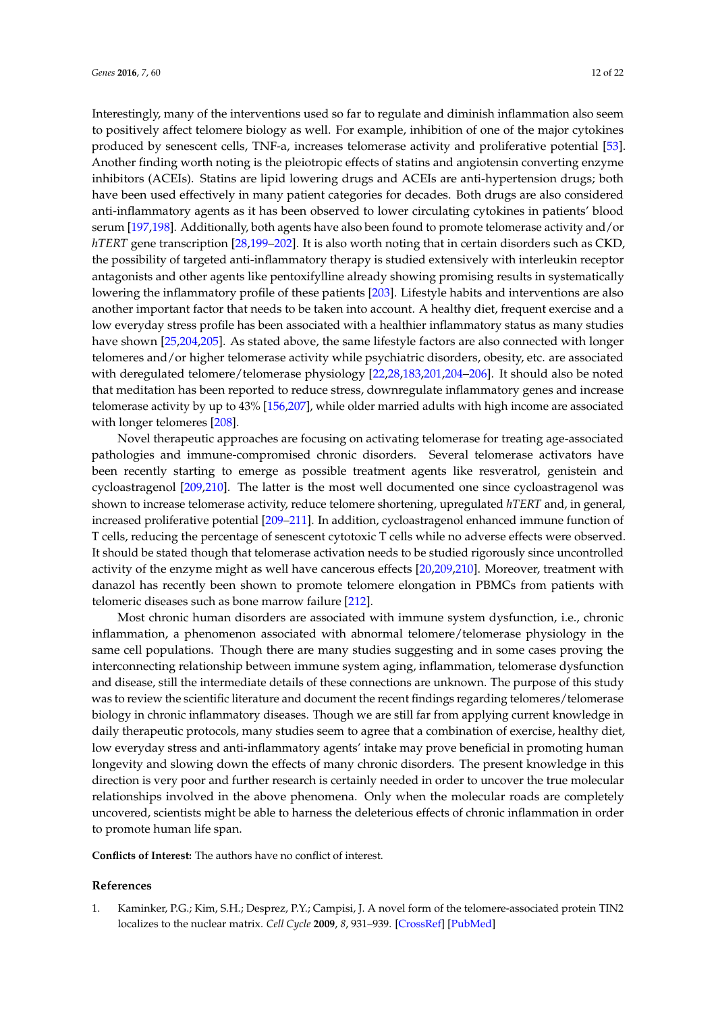Interestingly, many of the interventions used so far to regulate and diminish inflammation also seem to positively affect telomere biology as well. For example, inhibition of one of the major cytokines produced by senescent cells, TNF-a, increases telomerase activity and proliferative potential [\[53\]](#page-14-2). Another finding worth noting is the pleiotropic effects of statins and angiotensin converting enzyme inhibitors (ACEIs). Statins are lipid lowering drugs and ACEIs are anti-hypertension drugs; both have been used effectively in many patient categories for decades. Both drugs are also considered anti-inflammatory agents as it has been observed to lower circulating cytokines in patients' blood serum [\[197](#page-21-3)[,198\]](#page-21-4). Additionally, both agents have also been found to promote telomerase activity and/or *hTERT* gene transcription [\[28,](#page-13-3)[199](#page-21-5)[–202\]](#page-21-6). It is also worth noting that in certain disorders such as CKD, the possibility of targeted anti-inflammatory therapy is studied extensively with interleukin receptor antagonists and other agents like pentoxifylline already showing promising results in systematically lowering the inflammatory profile of these patients [\[203\]](#page-21-7). Lifestyle habits and interventions are also another important factor that needs to be taken into account. A healthy diet, frequent exercise and a low everyday stress profile has been associated with a healthier inflammatory status as many studies have shown [\[25](#page-13-0)[,204](#page-21-8)[,205\]](#page-21-9). As stated above, the same lifestyle factors are also connected with longer telomeres and/or higher telomerase activity while psychiatric disorders, obesity, etc. are associated with deregulated telomere/telomerase physiology [\[22,](#page-12-17)[28,](#page-13-3)[183,](#page-20-8)[201,](#page-21-10)[204](#page-21-8)[–206\]](#page-21-11). It should also be noted that meditation has been reported to reduce stress, downregulate inflammatory genes and increase telomerase activity by up to 43% [\[156,](#page-19-0)[207\]](#page-21-12), while older married adults with high income are associated with longer telomeres [\[208\]](#page-21-13).

Novel therapeutic approaches are focusing on activating telomerase for treating age-associated pathologies and immune-compromised chronic disorders. Several telomerase activators have been recently starting to emerge as possible treatment agents like resveratrol, genistein and cycloastragenol [\[209](#page-21-14)[,210\]](#page-21-15). The latter is the most well documented one since cycloastragenol was shown to increase telomerase activity, reduce telomere shortening, upregulated *hTERT* and, in general, increased proliferative potential [\[209–](#page-21-14)[211\]](#page-21-16). In addition, cycloastragenol enhanced immune function of T cells, reducing the percentage of senescent cytotoxic T cells while no adverse effects were observed. It should be stated though that telomerase activation needs to be studied rigorously since uncontrolled activity of the enzyme might as well have cancerous effects [\[20](#page-12-16)[,209](#page-21-14)[,210\]](#page-21-15). Moreover, treatment with danazol has recently been shown to promote telomere elongation in PBMCs from patients with telomeric diseases such as bone marrow failure [\[212\]](#page-21-17).

Most chronic human disorders are associated with immune system dysfunction, i.e., chronic inflammation, a phenomenon associated with abnormal telomere/telomerase physiology in the same cell populations. Though there are many studies suggesting and in some cases proving the interconnecting relationship between immune system aging, inflammation, telomerase dysfunction and disease, still the intermediate details of these connections are unknown. The purpose of this study was to review the scientific literature and document the recent findings regarding telomeres/telomerase biology in chronic inflammatory diseases. Though we are still far from applying current knowledge in daily therapeutic protocols, many studies seem to agree that a combination of exercise, healthy diet, low everyday stress and anti-inflammatory agents' intake may prove beneficial in promoting human longevity and slowing down the effects of many chronic disorders. The present knowledge in this direction is very poor and further research is certainly needed in order to uncover the true molecular relationships involved in the above phenomena. Only when the molecular roads are completely uncovered, scientists might be able to harness the deleterious effects of chronic inflammation in order to promote human life span.

**Conflicts of Interest:** The authors have no conflict of interest.

#### **References**

<span id="page-11-0"></span>1. Kaminker, P.G.; Kim, S.H.; Desprez, P.Y.; Campisi, J. A novel form of the telomere-associated protein TIN2 localizes to the nuclear matrix. *Cell Cycle* **2009**, *8*, 931–939. [\[CrossRef\]](http://dx.doi.org/10.4161/cc.8.6.7941) [\[PubMed\]](http://www.ncbi.nlm.nih.gov/pubmed/19229133)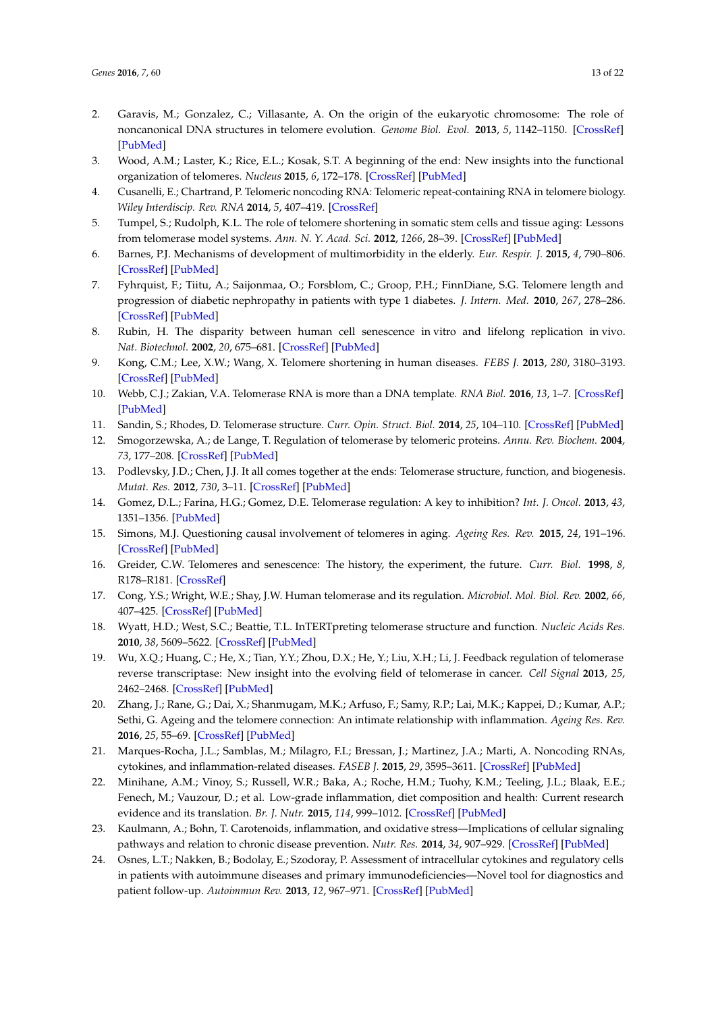- <span id="page-12-0"></span>2. Garavis, M.; Gonzalez, C.; Villasante, A. On the origin of the eukaryotic chromosome: The role of noncanonical DNA structures in telomere evolution. *Genome Biol. Evol.* **2013**, *5*, 1142–1150. [\[CrossRef\]](http://dx.doi.org/10.1093/gbe/evt079) [\[PubMed\]](http://www.ncbi.nlm.nih.gov/pubmed/23699225)
- <span id="page-12-1"></span>3. Wood, A.M.; Laster, K.; Rice, E.L.; Kosak, S.T. A beginning of the end: New insights into the functional organization of telomeres. *Nucleus* **2015**, *6*, 172–178. [\[CrossRef\]](http://dx.doi.org/10.1080/19491034.2015.1048407) [\[PubMed\]](http://www.ncbi.nlm.nih.gov/pubmed/25961132)
- <span id="page-12-2"></span>4. Cusanelli, E.; Chartrand, P. Telomeric noncoding RNA: Telomeric repeat-containing RNA in telomere biology. *Wiley Interdiscip. Rev. RNA* **2014**, *5*, 407–419. [\[CrossRef\]](http://dx.doi.org/10.1002/wrna.1220)
- <span id="page-12-3"></span>5. Tumpel, S.; Rudolph, K.L. The role of telomere shortening in somatic stem cells and tissue aging: Lessons from telomerase model systems. *Ann. N. Y. Acad. Sci.* **2012**, *1266*, 28–39. [\[CrossRef\]](http://dx.doi.org/10.1111/j.1749-6632.2012.06547.x) [\[PubMed\]](http://www.ncbi.nlm.nih.gov/pubmed/22901253)
- <span id="page-12-19"></span>6. Barnes, P.J. Mechanisms of development of multimorbidity in the elderly. *Eur. Respir. J.* **2015**, *4*, 790–806. [\[CrossRef\]](http://dx.doi.org/10.1183/09031936.00229714) [\[PubMed\]](http://www.ncbi.nlm.nih.gov/pubmed/25614163)
- <span id="page-12-4"></span>7. Fyhrquist, F.; Tiitu, A.; Saijonmaa, O.; Forsblom, C.; Groop, P.H.; FinnDiane, S.G. Telomere length and progression of diabetic nephropathy in patients with type 1 diabetes. *J. Intern. Med.* **2010**, *267*, 278–286. [\[CrossRef\]](http://dx.doi.org/10.1111/j.1365-2796.2009.02139.x) [\[PubMed\]](http://www.ncbi.nlm.nih.gov/pubmed/19563389)
- <span id="page-12-5"></span>8. Rubin, H. The disparity between human cell senescence in vitro and lifelong replication in vivo. *Nat. Biotechnol.* **2002**, *20*, 675–681. [\[CrossRef\]](http://dx.doi.org/10.1038/nbt0702-675) [\[PubMed\]](http://www.ncbi.nlm.nih.gov/pubmed/12089551)
- <span id="page-12-6"></span>9. Kong, C.M.; Lee, X.W.; Wang, X. Telomere shortening in human diseases. *FEBS J.* **2013**, *280*, 3180–3193. [\[CrossRef\]](http://dx.doi.org/10.1111/febs.12326) [\[PubMed\]](http://www.ncbi.nlm.nih.gov/pubmed/23647631)
- <span id="page-12-7"></span>10. Webb, C.J.; Zakian, V.A. Telomerase RNA is more than a DNA template. *RNA Biol.* **2016**, *13*, 1–7. [\[CrossRef\]](http://dx.doi.org/10.1080/15476286.2016.1191725) [\[PubMed\]](http://www.ncbi.nlm.nih.gov/pubmed/27245259)
- <span id="page-12-8"></span>11. Sandin, S.; Rhodes, D. Telomerase structure. *Curr. Opin. Struct. Biol.* **2014**, *25*, 104–110. [\[CrossRef\]](http://dx.doi.org/10.1016/j.sbi.2014.02.003) [\[PubMed\]](http://www.ncbi.nlm.nih.gov/pubmed/24704747)
- <span id="page-12-9"></span>12. Smogorzewska, A.; de Lange, T. Regulation of telomerase by telomeric proteins. *Annu. Rev. Biochem.* **2004**, *73*, 177–208. [\[CrossRef\]](http://dx.doi.org/10.1146/annurev.biochem.73.071403.160049) [\[PubMed\]](http://www.ncbi.nlm.nih.gov/pubmed/15189140)
- <span id="page-12-10"></span>13. Podlevsky, J.D.; Chen, J.J. It all comes together at the ends: Telomerase structure, function, and biogenesis. *Mutat. Res.* **2012**, *730*, 3–11. [\[CrossRef\]](http://dx.doi.org/10.1016/j.mrfmmm.2011.11.002) [\[PubMed\]](http://www.ncbi.nlm.nih.gov/pubmed/22093366)
- <span id="page-12-11"></span>14. Gomez, D.L.; Farina, H.G.; Gomez, D.E. Telomerase regulation: A key to inhibition? *Int. J. Oncol.* **2013**, *43*, 1351–1356. [\[PubMed\]](http://www.ncbi.nlm.nih.gov/pubmed/24042470)
- <span id="page-12-12"></span>15. Simons, M.J. Questioning causal involvement of telomeres in aging. *Ageing Res. Rev.* **2015**, *24*, 191–196. [\[CrossRef\]](http://dx.doi.org/10.1016/j.arr.2015.08.002) [\[PubMed\]](http://www.ncbi.nlm.nih.gov/pubmed/26304838)
- <span id="page-12-13"></span>16. Greider, C.W. Telomeres and senescence: The history, the experiment, the future. *Curr. Biol.* **1998**, *8*, R178–R181. [\[CrossRef\]](http://dx.doi.org/10.1016/S0960-9822(98)70105-8)
- 17. Cong, Y.S.; Wright, W.E.; Shay, J.W. Human telomerase and its regulation. *Microbiol. Mol. Biol. Rev.* **2002**, *66*, 407–425. [\[CrossRef\]](http://dx.doi.org/10.1128/MMBR.66.3.407-425.2002) [\[PubMed\]](http://www.ncbi.nlm.nih.gov/pubmed/12208997)
- <span id="page-12-15"></span>18. Wyatt, H.D.; West, S.C.; Beattie, T.L. InTERTpreting telomerase structure and function. *Nucleic Acids Res.* **2010**, *38*, 5609–5622. [\[CrossRef\]](http://dx.doi.org/10.1093/nar/gkq370) [\[PubMed\]](http://www.ncbi.nlm.nih.gov/pubmed/20460453)
- <span id="page-12-14"></span>19. Wu, X.Q.; Huang, C.; He, X.; Tian, Y.Y.; Zhou, D.X.; He, Y.; Liu, X.H.; Li, J. Feedback regulation of telomerase reverse transcriptase: New insight into the evolving field of telomerase in cancer. *Cell Signal* **2013**, *25*, 2462–2468. [\[CrossRef\]](http://dx.doi.org/10.1016/j.cellsig.2013.08.009) [\[PubMed\]](http://www.ncbi.nlm.nih.gov/pubmed/23993966)
- <span id="page-12-16"></span>20. Zhang, J.; Rane, G.; Dai, X.; Shanmugam, M.K.; Arfuso, F.; Samy, R.P.; Lai, M.K.; Kappei, D.; Kumar, A.P.; Sethi, G. Ageing and the telomere connection: An intimate relationship with inflammation. *Ageing Res. Rev.* **2016**, *25*, 55–69. [\[CrossRef\]](http://dx.doi.org/10.1016/j.arr.2015.11.006) [\[PubMed\]](http://www.ncbi.nlm.nih.gov/pubmed/26616852)
- 21. Marques-Rocha, J.L.; Samblas, M.; Milagro, F.I.; Bressan, J.; Martinez, J.A.; Marti, A. Noncoding RNAs, cytokines, and inflammation-related diseases. *FASEB J.* **2015**, *29*, 3595–3611. [\[CrossRef\]](http://dx.doi.org/10.1096/fj.14-260323) [\[PubMed\]](http://www.ncbi.nlm.nih.gov/pubmed/26065857)
- <span id="page-12-17"></span>22. Minihane, A.M.; Vinoy, S.; Russell, W.R.; Baka, A.; Roche, H.M.; Tuohy, K.M.; Teeling, J.L.; Blaak, E.E.; Fenech, M.; Vauzour, D.; et al. Low-grade inflammation, diet composition and health: Current research evidence and its translation. *Br. J. Nutr.* **2015**, *114*, 999–1012. [\[CrossRef\]](http://dx.doi.org/10.1017/S0007114515002093) [\[PubMed\]](http://www.ncbi.nlm.nih.gov/pubmed/26228057)
- <span id="page-12-18"></span>23. Kaulmann, A.; Bohn, T. Carotenoids, inflammation, and oxidative stress—Implications of cellular signaling pathways and relation to chronic disease prevention. *Nutr. Res.* **2014**, *34*, 907–929. [\[CrossRef\]](http://dx.doi.org/10.1016/j.nutres.2014.07.010) [\[PubMed\]](http://www.ncbi.nlm.nih.gov/pubmed/25134454)
- 24. Osnes, L.T.; Nakken, B.; Bodolay, E.; Szodoray, P. Assessment of intracellular cytokines and regulatory cells in patients with autoimmune diseases and primary immunodeficiencies—Novel tool for diagnostics and patient follow-up. *Autoimmun Rev.* **2013**, *12*, 967–971. [\[CrossRef\]](http://dx.doi.org/10.1016/j.autrev.2013.02.003) [\[PubMed\]](http://www.ncbi.nlm.nih.gov/pubmed/23541481)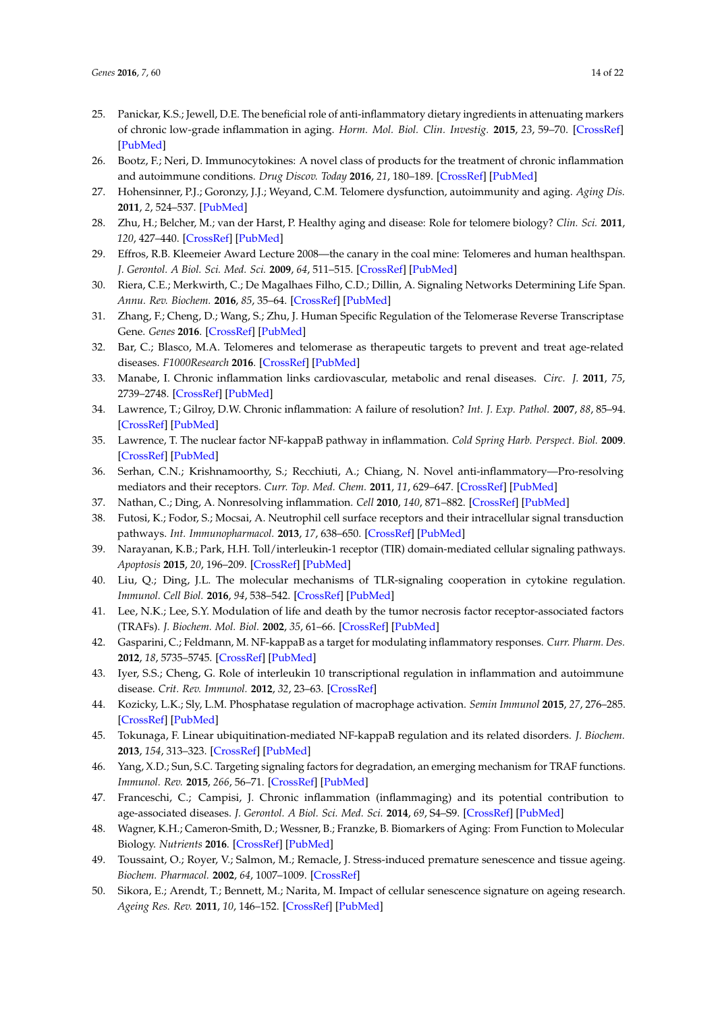- <span id="page-13-0"></span>25. Panickar, K.S.; Jewell, D.E. The beneficial role of anti-inflammatory dietary ingredients in attenuating markers of chronic low-grade inflammation in aging. *Horm. Mol. Biol. Clin. Investig.* **2015**, *23*, 59–70. [\[CrossRef\]](http://dx.doi.org/10.1515/hmbci-2015-0017) [\[PubMed\]](http://www.ncbi.nlm.nih.gov/pubmed/26124060)
- <span id="page-13-1"></span>26. Bootz, F.; Neri, D. Immunocytokines: A novel class of products for the treatment of chronic inflammation and autoimmune conditions. *Drug Discov. Today* **2016**, *21*, 180–189. [\[CrossRef\]](http://dx.doi.org/10.1016/j.drudis.2015.10.012) [\[PubMed\]](http://www.ncbi.nlm.nih.gov/pubmed/26526566)
- <span id="page-13-2"></span>27. Hohensinner, P.J.; Goronzy, J.J.; Weyand, C.M. Telomere dysfunction, autoimmunity and aging. *Aging Dis.* **2011**, *2*, 524–537. [\[PubMed\]](http://www.ncbi.nlm.nih.gov/pubmed/22396899)
- <span id="page-13-3"></span>28. Zhu, H.; Belcher, M.; van der Harst, P. Healthy aging and disease: Role for telomere biology? *Clin. Sci.* **2011**, *120*, 427–440. [\[CrossRef\]](http://dx.doi.org/10.1042/CS20100385) [\[PubMed\]](http://www.ncbi.nlm.nih.gov/pubmed/21271986)
- 29. Effros, R.B. Kleemeier Award Lecture 2008—the canary in the coal mine: Telomeres and human healthspan. *J. Gerontol. A Biol. Sci. Med. Sci.* **2009**, *64*, 511–515. [\[CrossRef\]](http://dx.doi.org/10.1093/gerona/glp001) [\[PubMed\]](http://www.ncbi.nlm.nih.gov/pubmed/19228779)
- <span id="page-13-4"></span>30. Riera, C.E.; Merkwirth, C.; De Magalhaes Filho, C.D.; Dillin, A. Signaling Networks Determining Life Span. *Annu. Rev. Biochem.* **2016**, *85*, 35–64. [\[CrossRef\]](http://dx.doi.org/10.1146/annurev-biochem-060815-014451) [\[PubMed\]](http://www.ncbi.nlm.nih.gov/pubmed/27294438)
- <span id="page-13-5"></span>31. Zhang, F.; Cheng, D.; Wang, S.; Zhu, J. Human Specific Regulation of the Telomerase Reverse Transcriptase Gene. *Genes* **2016**. [\[CrossRef\]](http://dx.doi.org/10.3390/genes7070030) [\[PubMed\]](http://www.ncbi.nlm.nih.gov/pubmed/27367732)
- <span id="page-13-6"></span>32. Bar, C.; Blasco, M.A. Telomeres and telomerase as therapeutic targets to prevent and treat age-related diseases. *F1000Research* **2016**. [\[CrossRef\]](http://dx.doi.org/10.12688/f1000research.7020.1) [\[PubMed\]](http://www.ncbi.nlm.nih.gov/pubmed/27081482)
- <span id="page-13-7"></span>33. Manabe, I. Chronic inflammation links cardiovascular, metabolic and renal diseases. *Circ. J.* **2011**, *75*, 2739–2748. [\[CrossRef\]](http://dx.doi.org/10.1253/circj.CJ-11-1184) [\[PubMed\]](http://www.ncbi.nlm.nih.gov/pubmed/22067929)
- <span id="page-13-8"></span>34. Lawrence, T.; Gilroy, D.W. Chronic inflammation: A failure of resolution? *Int. J. Exp. Pathol.* **2007**, *88*, 85–94. [\[CrossRef\]](http://dx.doi.org/10.1111/j.1365-2613.2006.00507.x) [\[PubMed\]](http://www.ncbi.nlm.nih.gov/pubmed/17408451)
- <span id="page-13-10"></span>35. Lawrence, T. The nuclear factor NF-kappaB pathway in inflammation. *Cold Spring Harb. Perspect. Biol.* **2009**. [\[CrossRef\]](http://dx.doi.org/10.1101/cshperspect.a001651) [\[PubMed\]](http://www.ncbi.nlm.nih.gov/pubmed/20457564)
- 36. Serhan, C.N.; Krishnamoorthy, S.; Recchiuti, A.; Chiang, N. Novel anti-inflammatory—Pro-resolving mediators and their receptors. *Curr. Top. Med. Chem.* **2011**, *11*, 629–647. [\[CrossRef\]](http://dx.doi.org/10.2174/1568026611109060629) [\[PubMed\]](http://www.ncbi.nlm.nih.gov/pubmed/21261595)
- <span id="page-13-9"></span>37. Nathan, C.; Ding, A. Nonresolving inflammation. *Cell* **2010**, *140*, 871–882. [\[CrossRef\]](http://dx.doi.org/10.1016/j.cell.2010.02.029) [\[PubMed\]](http://www.ncbi.nlm.nih.gov/pubmed/20303877)
- <span id="page-13-11"></span>38. Futosi, K.; Fodor, S.; Mocsai, A. Neutrophil cell surface receptors and their intracellular signal transduction pathways. *Int. Immunopharmacol.* **2013**, *17*, 638–650. [\[CrossRef\]](http://dx.doi.org/10.1016/j.intimp.2013.06.034) [\[PubMed\]](http://www.ncbi.nlm.nih.gov/pubmed/23994464)
- <span id="page-13-12"></span>39. Narayanan, K.B.; Park, H.H. Toll/interleukin-1 receptor (TIR) domain-mediated cellular signaling pathways. *Apoptosis* **2015**, *20*, 196–209. [\[CrossRef\]](http://dx.doi.org/10.1007/s10495-014-1073-1) [\[PubMed\]](http://www.ncbi.nlm.nih.gov/pubmed/25563856)
- <span id="page-13-13"></span>40. Liu, Q.; Ding, J.L. The molecular mechanisms of TLR-signaling cooperation in cytokine regulation. *Immunol. Cell Biol.* **2016**, *94*, 538–542. [\[CrossRef\]](http://dx.doi.org/10.1038/icb.2016.18) [\[PubMed\]](http://www.ncbi.nlm.nih.gov/pubmed/26860369)
- <span id="page-13-14"></span>41. Lee, N.K.; Lee, S.Y. Modulation of life and death by the tumor necrosis factor receptor-associated factors (TRAFs). *J. Biochem. Mol. Biol.* **2002**, *35*, 61–66. [\[CrossRef\]](http://dx.doi.org/10.5483/BMBRep.2002.35.1.061) [\[PubMed\]](http://www.ncbi.nlm.nih.gov/pubmed/16248971)
- <span id="page-13-15"></span>42. Gasparini, C.; Feldmann, M. NF-kappaB as a target for modulating inflammatory responses. *Curr. Pharm. Des.* **2012**, *18*, 5735–5745. [\[CrossRef\]](http://dx.doi.org/10.2174/138161212803530763) [\[PubMed\]](http://www.ncbi.nlm.nih.gov/pubmed/22726116)
- <span id="page-13-16"></span>43. Iyer, S.S.; Cheng, G. Role of interleukin 10 transcriptional regulation in inflammation and autoimmune disease. *Crit. Rev. Immunol.* **2012**, *32*, 23–63. [\[CrossRef\]](http://dx.doi.org/10.1615/CritRevImmunol.v32.i1.30)
- <span id="page-13-17"></span>44. Kozicky, L.K.; Sly, L.M. Phosphatase regulation of macrophage activation. *Semin Immunol* **2015**, *27*, 276–285. [\[CrossRef\]](http://dx.doi.org/10.1016/j.smim.2015.07.001) [\[PubMed\]](http://www.ncbi.nlm.nih.gov/pubmed/26216598)
- <span id="page-13-18"></span>45. Tokunaga, F. Linear ubiquitination-mediated NF-kappaB regulation and its related disorders. *J. Biochem.* **2013**, *154*, 313–323. [\[CrossRef\]](http://dx.doi.org/10.1093/jb/mvt079) [\[PubMed\]](http://www.ncbi.nlm.nih.gov/pubmed/23969028)
- <span id="page-13-19"></span>46. Yang, X.D.; Sun, S.C. Targeting signaling factors for degradation, an emerging mechanism for TRAF functions. *Immunol. Rev.* **2015**, *266*, 56–71. [\[CrossRef\]](http://dx.doi.org/10.1111/imr.12311) [\[PubMed\]](http://www.ncbi.nlm.nih.gov/pubmed/26085207)
- <span id="page-13-20"></span>47. Franceschi, C.; Campisi, J. Chronic inflammation (inflammaging) and its potential contribution to age-associated diseases. *J. Gerontol. A Biol. Sci. Med. Sci.* **2014**, *69*, S4–S9. [\[CrossRef\]](http://dx.doi.org/10.1093/gerona/glu057) [\[PubMed\]](http://www.ncbi.nlm.nih.gov/pubmed/24833586)
- <span id="page-13-21"></span>48. Wagner, K.H.; Cameron-Smith, D.; Wessner, B.; Franzke, B. Biomarkers of Aging: From Function to Molecular Biology. *Nutrients* **2016**. [\[CrossRef\]](http://dx.doi.org/10.3390/nu8060338) [\[PubMed\]](http://www.ncbi.nlm.nih.gov/pubmed/27271660)
- <span id="page-13-22"></span>49. Toussaint, O.; Royer, V.; Salmon, M.; Remacle, J. Stress-induced premature senescence and tissue ageing. *Biochem. Pharmacol.* **2002**, *64*, 1007–1009. [\[CrossRef\]](http://dx.doi.org/10.1016/S0006-2952(02)01170-X)
- <span id="page-13-23"></span>50. Sikora, E.; Arendt, T.; Bennett, M.; Narita, M. Impact of cellular senescence signature on ageing research. *Ageing Res. Rev.* **2011**, *10*, 146–152. [\[CrossRef\]](http://dx.doi.org/10.1016/j.arr.2010.10.002) [\[PubMed\]](http://www.ncbi.nlm.nih.gov/pubmed/20946972)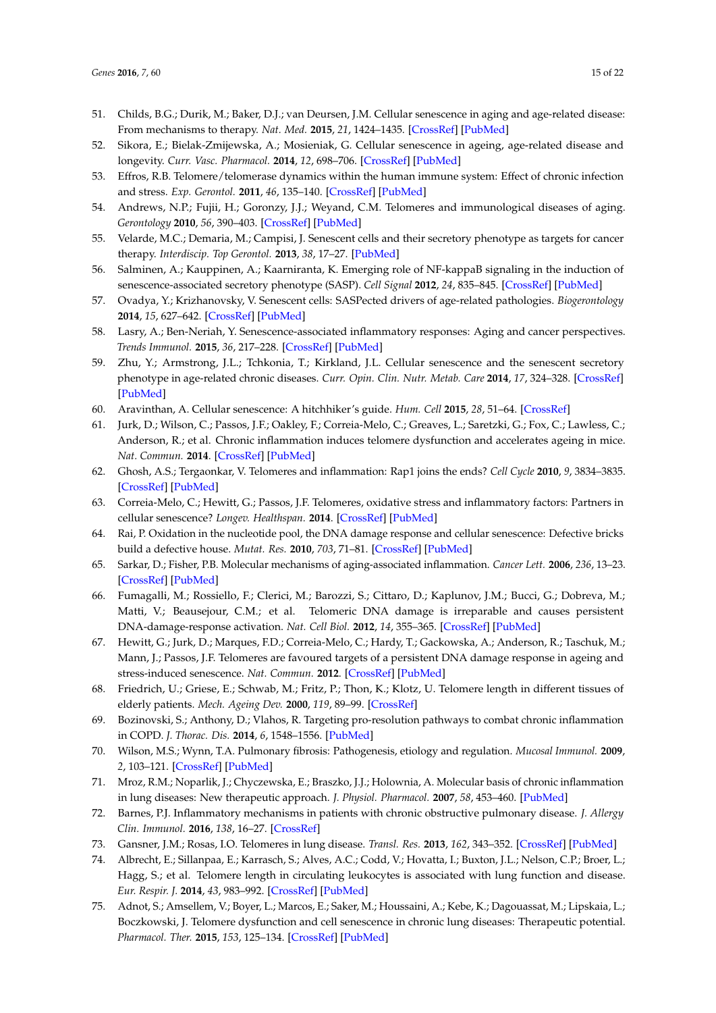- <span id="page-14-0"></span>51. Childs, B.G.; Durik, M.; Baker, D.J.; van Deursen, J.M. Cellular senescence in aging and age-related disease: From mechanisms to therapy. *Nat. Med.* **2015**, *21*, 1424–1435. [\[CrossRef\]](http://dx.doi.org/10.1038/nm.4000) [\[PubMed\]](http://www.ncbi.nlm.nih.gov/pubmed/26646499)
- <span id="page-14-1"></span>52. Sikora, E.; Bielak-Zmijewska, A.; Mosieniak, G. Cellular senescence in ageing, age-related disease and longevity. *Curr. Vasc. Pharmacol.* **2014**, *12*, 698–706. [\[CrossRef\]](http://dx.doi.org/10.2174/1570161111666131219094045) [\[PubMed\]](http://www.ncbi.nlm.nih.gov/pubmed/24350932)
- <span id="page-14-2"></span>53. Effros, R.B. Telomere/telomerase dynamics within the human immune system: Effect of chronic infection and stress. *Exp. Gerontol.* **2011**, *46*, 135–140. [\[CrossRef\]](http://dx.doi.org/10.1016/j.exger.2010.08.027) [\[PubMed\]](http://www.ncbi.nlm.nih.gov/pubmed/20833238)
- <span id="page-14-3"></span>54. Andrews, N.P.; Fujii, H.; Goronzy, J.J.; Weyand, C.M. Telomeres and immunological diseases of aging. *Gerontology* **2010**, *56*, 390–403. [\[CrossRef\]](http://dx.doi.org/10.1159/000268620) [\[PubMed\]](http://www.ncbi.nlm.nih.gov/pubmed/20016137)
- <span id="page-14-4"></span>55. Velarde, M.C.; Demaria, M.; Campisi, J. Senescent cells and their secretory phenotype as targets for cancer therapy. *Interdiscip. Top Gerontol.* **2013**, *38*, 17–27. [\[PubMed\]](http://www.ncbi.nlm.nih.gov/pubmed/23503512)
- <span id="page-14-5"></span>56. Salminen, A.; Kauppinen, A.; Kaarniranta, K. Emerging role of NF-kappaB signaling in the induction of senescence-associated secretory phenotype (SASP). *Cell Signal* **2012**, *24*, 835–845. [\[CrossRef\]](http://dx.doi.org/10.1016/j.cellsig.2011.12.006) [\[PubMed\]](http://www.ncbi.nlm.nih.gov/pubmed/22182507)
- <span id="page-14-6"></span>57. Ovadya, Y.; Krizhanovsky, V. Senescent cells: SASPected drivers of age-related pathologies. *Biogerontology* **2014**, *15*, 627–642. [\[CrossRef\]](http://dx.doi.org/10.1007/s10522-014-9529-9) [\[PubMed\]](http://www.ncbi.nlm.nih.gov/pubmed/25217383)
- <span id="page-14-7"></span>58. Lasry, A.; Ben-Neriah, Y. Senescence-associated inflammatory responses: Aging and cancer perspectives. *Trends Immunol.* **2015**, *36*, 217–228. [\[CrossRef\]](http://dx.doi.org/10.1016/j.it.2015.02.009) [\[PubMed\]](http://www.ncbi.nlm.nih.gov/pubmed/25801910)
- <span id="page-14-8"></span>59. Zhu, Y.; Armstrong, J.L.; Tchkonia, T.; Kirkland, J.L. Cellular senescence and the senescent secretory phenotype in age-related chronic diseases. *Curr. Opin. Clin. Nutr. Metab. Care* **2014**, *17*, 324–328. [\[CrossRef\]](http://dx.doi.org/10.1097/MCO.0000000000000065) [\[PubMed\]](http://www.ncbi.nlm.nih.gov/pubmed/24848532)
- <span id="page-14-9"></span>60. Aravinthan, A. Cellular senescence: A hitchhiker's guide. *Hum. Cell* **2015**, *28*, 51–64. [\[CrossRef\]](http://dx.doi.org/10.1007/s13577-015-0110-x)
- <span id="page-14-10"></span>61. Jurk, D.; Wilson, C.; Passos, J.F.; Oakley, F.; Correia-Melo, C.; Greaves, L.; Saretzki, G.; Fox, C.; Lawless, C.; Anderson, R.; et al. Chronic inflammation induces telomere dysfunction and accelerates ageing in mice. *Nat. Commun.* **2014**. [\[CrossRef\]](http://dx.doi.org/10.1038/ncomms5172) [\[PubMed\]](http://www.ncbi.nlm.nih.gov/pubmed/24960204)
- <span id="page-14-11"></span>62. Ghosh, A.S.; Tergaonkar, V. Telomeres and inflammation: Rap1 joins the ends? *Cell Cycle* **2010**, *9*, 3834–3835. [\[CrossRef\]](http://dx.doi.org/10.4161/cc.9.19.13383) [\[PubMed\]](http://www.ncbi.nlm.nih.gov/pubmed/20890110)
- <span id="page-14-12"></span>63. Correia-Melo, C.; Hewitt, G.; Passos, J.F. Telomeres, oxidative stress and inflammatory factors: Partners in cellular senescence? *Longev. Healthspan.* **2014**. [\[CrossRef\]](http://dx.doi.org/10.1186/2046-2395-3-1) [\[PubMed\]](http://www.ncbi.nlm.nih.gov/pubmed/24472138)
- <span id="page-14-13"></span>64. Rai, P. Oxidation in the nucleotide pool, the DNA damage response and cellular senescence: Defective bricks build a defective house. *Mutat. Res.* **2010**, *703*, 71–81. [\[CrossRef\]](http://dx.doi.org/10.1016/j.mrgentox.2010.07.010) [\[PubMed\]](http://www.ncbi.nlm.nih.gov/pubmed/20673809)
- <span id="page-14-14"></span>65. Sarkar, D.; Fisher, P.B. Molecular mechanisms of aging-associated inflammation. *Cancer Lett.* **2006**, *236*, 13–23. [\[CrossRef\]](http://dx.doi.org/10.1016/j.canlet.2005.04.009) [\[PubMed\]](http://www.ncbi.nlm.nih.gov/pubmed/15978720)
- <span id="page-14-15"></span>66. Fumagalli, M.; Rossiello, F.; Clerici, M.; Barozzi, S.; Cittaro, D.; Kaplunov, J.M.; Bucci, G.; Dobreva, M.; Matti, V.; Beausejour, C.M.; et al. Telomeric DNA damage is irreparable and causes persistent DNA-damage-response activation. *Nat. Cell Biol.* **2012**, *14*, 355–365. [\[CrossRef\]](http://dx.doi.org/10.1038/ncb2466) [\[PubMed\]](http://www.ncbi.nlm.nih.gov/pubmed/22426077)
- <span id="page-14-16"></span>67. Hewitt, G.; Jurk, D.; Marques, F.D.; Correia-Melo, C.; Hardy, T.; Gackowska, A.; Anderson, R.; Taschuk, M.; Mann, J.; Passos, J.F. Telomeres are favoured targets of a persistent DNA damage response in ageing and stress-induced senescence. *Nat. Commun.* **2012**. [\[CrossRef\]](http://dx.doi.org/10.1038/ncomms1708) [\[PubMed\]](http://www.ncbi.nlm.nih.gov/pubmed/22426229)
- <span id="page-14-17"></span>68. Friedrich, U.; Griese, E.; Schwab, M.; Fritz, P.; Thon, K.; Klotz, U. Telomere length in different tissues of elderly patients. *Mech. Ageing Dev.* **2000**, *119*, 89–99. [\[CrossRef\]](http://dx.doi.org/10.1016/S0047-6374(00)00173-1)
- <span id="page-14-18"></span>69. Bozinovski, S.; Anthony, D.; Vlahos, R. Targeting pro-resolution pathways to combat chronic inflammation in COPD. *J. Thorac. Dis.* **2014**, *6*, 1548–1556. [\[PubMed\]](http://www.ncbi.nlm.nih.gov/pubmed/25478196)
- <span id="page-14-19"></span>70. Wilson, M.S.; Wynn, T.A. Pulmonary fibrosis: Pathogenesis, etiology and regulation. *Mucosal Immunol.* **2009**, *2*, 103–121. [\[CrossRef\]](http://dx.doi.org/10.1038/mi.2008.85) [\[PubMed\]](http://www.ncbi.nlm.nih.gov/pubmed/19129758)
- <span id="page-14-20"></span>71. Mroz, R.M.; Noparlik, J.; Chyczewska, E.; Braszko, J.J.; Holownia, A. Molecular basis of chronic inflammation in lung diseases: New therapeutic approach. *J. Physiol. Pharmacol.* **2007**, *58*, 453–460. [\[PubMed\]](http://www.ncbi.nlm.nih.gov/pubmed/18204158)
- <span id="page-14-21"></span>72. Barnes, P.J. Inflammatory mechanisms in patients with chronic obstructive pulmonary disease. *J. Allergy Clin. Immunol.* **2016**, *138*, 16–27. [\[CrossRef\]](http://dx.doi.org/10.1016/j.jaci.2016.05.011)
- <span id="page-14-22"></span>73. Gansner, J.M.; Rosas, I.O. Telomeres in lung disease. *Transl. Res.* **2013**, *162*, 343–352. [\[CrossRef\]](http://dx.doi.org/10.1016/j.trsl.2013.04.001) [\[PubMed\]](http://www.ncbi.nlm.nih.gov/pubmed/23618685)
- 74. Albrecht, E.; Sillanpaa, E.; Karrasch, S.; Alves, A.C.; Codd, V.; Hovatta, I.; Buxton, J.L.; Nelson, C.P.; Broer, L.; Hagg, S.; et al. Telomere length in circulating leukocytes is associated with lung function and disease. *Eur. Respir. J.* **2014**, *43*, 983–992. [\[CrossRef\]](http://dx.doi.org/10.1183/09031936.00046213) [\[PubMed\]](http://www.ncbi.nlm.nih.gov/pubmed/24311771)
- <span id="page-14-23"></span>75. Adnot, S.; Amsellem, V.; Boyer, L.; Marcos, E.; Saker, M.; Houssaini, A.; Kebe, K.; Dagouassat, M.; Lipskaia, L.; Boczkowski, J. Telomere dysfunction and cell senescence in chronic lung diseases: Therapeutic potential. *Pharmacol. Ther.* **2015**, *153*, 125–134. [\[CrossRef\]](http://dx.doi.org/10.1016/j.pharmthera.2015.06.007) [\[PubMed\]](http://www.ncbi.nlm.nih.gov/pubmed/26096607)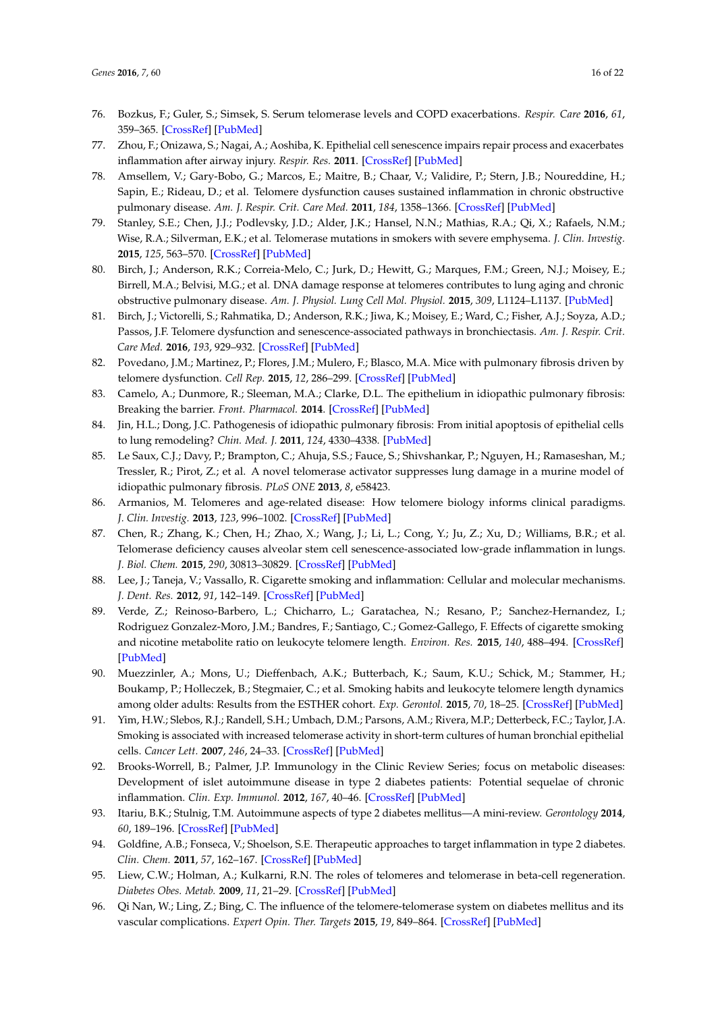- <span id="page-15-0"></span>76. Bozkus, F.; Guler, S.; Simsek, S. Serum telomerase levels and COPD exacerbations. *Respir. Care* **2016**, *61*, 359–365. [\[CrossRef\]](http://dx.doi.org/10.4187/respcare.04389) [\[PubMed\]](http://www.ncbi.nlm.nih.gov/pubmed/26759422)
- <span id="page-15-1"></span>77. Zhou, F.; Onizawa, S.; Nagai, A.; Aoshiba, K. Epithelial cell senescence impairs repair process and exacerbates inflammation after airway injury. *Respir. Res.* **2011**. [\[CrossRef\]](http://dx.doi.org/10.1186/1465-9921-12-78) [\[PubMed\]](http://www.ncbi.nlm.nih.gov/pubmed/21663649)
- <span id="page-15-2"></span>78. Amsellem, V.; Gary-Bobo, G.; Marcos, E.; Maitre, B.; Chaar, V.; Validire, P.; Stern, J.B.; Noureddine, H.; Sapin, E.; Rideau, D.; et al. Telomere dysfunction causes sustained inflammation in chronic obstructive pulmonary disease. *Am. J. Respir. Crit. Care Med.* **2011**, *184*, 1358–1366. [\[CrossRef\]](http://dx.doi.org/10.1164/rccm.201105-0802OC) [\[PubMed\]](http://www.ncbi.nlm.nih.gov/pubmed/21885626)
- <span id="page-15-3"></span>79. Stanley, S.E.; Chen, J.J.; Podlevsky, J.D.; Alder, J.K.; Hansel, N.N.; Mathias, R.A.; Qi, X.; Rafaels, N.M.; Wise, R.A.; Silverman, E.K.; et al. Telomerase mutations in smokers with severe emphysema. *J. Clin. Investig.* **2015**, *125*, 563–570. [\[CrossRef\]](http://dx.doi.org/10.1172/JCI78554) [\[PubMed\]](http://www.ncbi.nlm.nih.gov/pubmed/25562321)
- <span id="page-15-4"></span>80. Birch, J.; Anderson, R.K.; Correia-Melo, C.; Jurk, D.; Hewitt, G.; Marques, F.M.; Green, N.J.; Moisey, E.; Birrell, M.A.; Belvisi, M.G.; et al. DNA damage response at telomeres contributes to lung aging and chronic obstructive pulmonary disease. *Am. J. Physiol. Lung Cell Mol. Physiol.* **2015**, *309*, L1124–L1137. [\[PubMed\]](http://www.ncbi.nlm.nih.gov/pubmed/26386121)
- <span id="page-15-5"></span>81. Birch, J.; Victorelli, S.; Rahmatika, D.; Anderson, R.K.; Jiwa, K.; Moisey, E.; Ward, C.; Fisher, A.J.; Soyza, A.D.; Passos, J.F. Telomere dysfunction and senescence-associated pathways in bronchiectasis. *Am. J. Respir. Crit. Care Med.* **2016**, *193*, 929–932. [\[CrossRef\]](http://dx.doi.org/10.1164/rccm.201510-2035LE) [\[PubMed\]](http://www.ncbi.nlm.nih.gov/pubmed/27082536)
- <span id="page-15-6"></span>82. Povedano, J.M.; Martinez, P.; Flores, J.M.; Mulero, F.; Blasco, M.A. Mice with pulmonary fibrosis driven by telomere dysfunction. *Cell Rep.* **2015**, *12*, 286–299. [\[CrossRef\]](http://dx.doi.org/10.1016/j.celrep.2015.06.028) [\[PubMed\]](http://www.ncbi.nlm.nih.gov/pubmed/26146081)
- <span id="page-15-7"></span>83. Camelo, A.; Dunmore, R.; Sleeman, M.A.; Clarke, D.L. The epithelium in idiopathic pulmonary fibrosis: Breaking the barrier. *Front. Pharmacol.* **2014**. [\[CrossRef\]](http://dx.doi.org/10.3389/fphar.2013.00173) [\[PubMed\]](http://www.ncbi.nlm.nih.gov/pubmed/24454287)
- <span id="page-15-8"></span>84. Jin, H.L.; Dong, J.C. Pathogenesis of idiopathic pulmonary fibrosis: From initial apoptosis of epithelial cells to lung remodeling? *Chin. Med. J.* **2011**, *124*, 4330–4338. [\[PubMed\]](http://www.ncbi.nlm.nih.gov/pubmed/22340409)
- <span id="page-15-9"></span>85. Le Saux, C.J.; Davy, P.; Brampton, C.; Ahuja, S.S.; Fauce, S.; Shivshankar, P.; Nguyen, H.; Ramaseshan, M.; Tressler, R.; Pirot, Z.; et al. A novel telomerase activator suppresses lung damage in a murine model of idiopathic pulmonary fibrosis. *PLoS ONE* **2013**, *8*, e58423.
- <span id="page-15-10"></span>86. Armanios, M. Telomeres and age-related disease: How telomere biology informs clinical paradigms. *J. Clin. Investig.* **2013**, *123*, 996–1002. [\[CrossRef\]](http://dx.doi.org/10.1172/JCI66370) [\[PubMed\]](http://www.ncbi.nlm.nih.gov/pubmed/23454763)
- <span id="page-15-11"></span>87. Chen, R.; Zhang, K.; Chen, H.; Zhao, X.; Wang, J.; Li, L.; Cong, Y.; Ju, Z.; Xu, D.; Williams, B.R.; et al. Telomerase deficiency causes alveolar stem cell senescence-associated low-grade inflammation in lungs. *J. Biol. Chem.* **2015**, *290*, 30813–30829. [\[CrossRef\]](http://dx.doi.org/10.1074/jbc.M115.681619) [\[PubMed\]](http://www.ncbi.nlm.nih.gov/pubmed/26518879)
- <span id="page-15-12"></span>88. Lee, J.; Taneja, V.; Vassallo, R. Cigarette smoking and inflammation: Cellular and molecular mechanisms. *J. Dent. Res.* **2012**, *91*, 142–149. [\[CrossRef\]](http://dx.doi.org/10.1177/0022034511421200) [\[PubMed\]](http://www.ncbi.nlm.nih.gov/pubmed/21876032)
- <span id="page-15-13"></span>89. Verde, Z.; Reinoso-Barbero, L.; Chicharro, L.; Garatachea, N.; Resano, P.; Sanchez-Hernandez, I.; Rodriguez Gonzalez-Moro, J.M.; Bandres, F.; Santiago, C.; Gomez-Gallego, F. Effects of cigarette smoking and nicotine metabolite ratio on leukocyte telomere length. *Environ. Res.* **2015**, *140*, 488–494. [\[CrossRef\]](http://dx.doi.org/10.1016/j.envres.2015.05.008) [\[PubMed\]](http://www.ncbi.nlm.nih.gov/pubmed/25996625)
- <span id="page-15-14"></span>90. Muezzinler, A.; Mons, U.; Dieffenbach, A.K.; Butterbach, K.; Saum, K.U.; Schick, M.; Stammer, H.; Boukamp, P.; Holleczek, B.; Stegmaier, C.; et al. Smoking habits and leukocyte telomere length dynamics among older adults: Results from the ESTHER cohort. *Exp. Gerontol.* **2015**, *70*, 18–25. [\[CrossRef\]](http://dx.doi.org/10.1016/j.exger.2015.07.002) [\[PubMed\]](http://www.ncbi.nlm.nih.gov/pubmed/26255046)
- <span id="page-15-15"></span>91. Yim, H.W.; Slebos, R.J.; Randell, S.H.; Umbach, D.M.; Parsons, A.M.; Rivera, M.P.; Detterbeck, F.C.; Taylor, J.A. Smoking is associated with increased telomerase activity in short-term cultures of human bronchial epithelial cells. *Cancer Lett.* **2007**, *246*, 24–33. [\[CrossRef\]](http://dx.doi.org/10.1016/j.canlet.2006.01.023) [\[PubMed\]](http://www.ncbi.nlm.nih.gov/pubmed/16517060)
- <span id="page-15-16"></span>92. Brooks-Worrell, B.; Palmer, J.P. Immunology in the Clinic Review Series; focus on metabolic diseases: Development of islet autoimmune disease in type 2 diabetes patients: Potential sequelae of chronic inflammation. *Clin. Exp. Immunol.* **2012**, *167*, 40–46. [\[CrossRef\]](http://dx.doi.org/10.1111/j.1365-2249.2011.04501.x) [\[PubMed\]](http://www.ncbi.nlm.nih.gov/pubmed/22132883)
- <span id="page-15-17"></span>93. Itariu, B.K.; Stulnig, T.M. Autoimmune aspects of type 2 diabetes mellitus—A mini-review. *Gerontology* **2014**, *60*, 189–196. [\[CrossRef\]](http://dx.doi.org/10.1159/000356747) [\[PubMed\]](http://www.ncbi.nlm.nih.gov/pubmed/24457898)
- <span id="page-15-18"></span>94. Goldfine, A.B.; Fonseca, V.; Shoelson, S.E. Therapeutic approaches to target inflammation in type 2 diabetes. *Clin. Chem.* **2011**, *57*, 162–167. [\[CrossRef\]](http://dx.doi.org/10.1373/clinchem.2010.148833) [\[PubMed\]](http://www.ncbi.nlm.nih.gov/pubmed/21098138)
- <span id="page-15-19"></span>95. Liew, C.W.; Holman, A.; Kulkarni, R.N. The roles of telomeres and telomerase in beta-cell regeneration. *Diabetes Obes. Metab.* **2009**, *11*, 21–29. [\[CrossRef\]](http://dx.doi.org/10.1111/j.1463-1326.2009.01103.x) [\[PubMed\]](http://www.ncbi.nlm.nih.gov/pubmed/19817785)
- <span id="page-15-20"></span>96. Qi Nan, W.; Ling, Z.; Bing, C. The influence of the telomere-telomerase system on diabetes mellitus and its vascular complications. *Expert Opin. Ther. Targets* **2015**, *19*, 849–864. [\[CrossRef\]](http://dx.doi.org/10.1517/14728222.2015.1016500) [\[PubMed\]](http://www.ncbi.nlm.nih.gov/pubmed/25677239)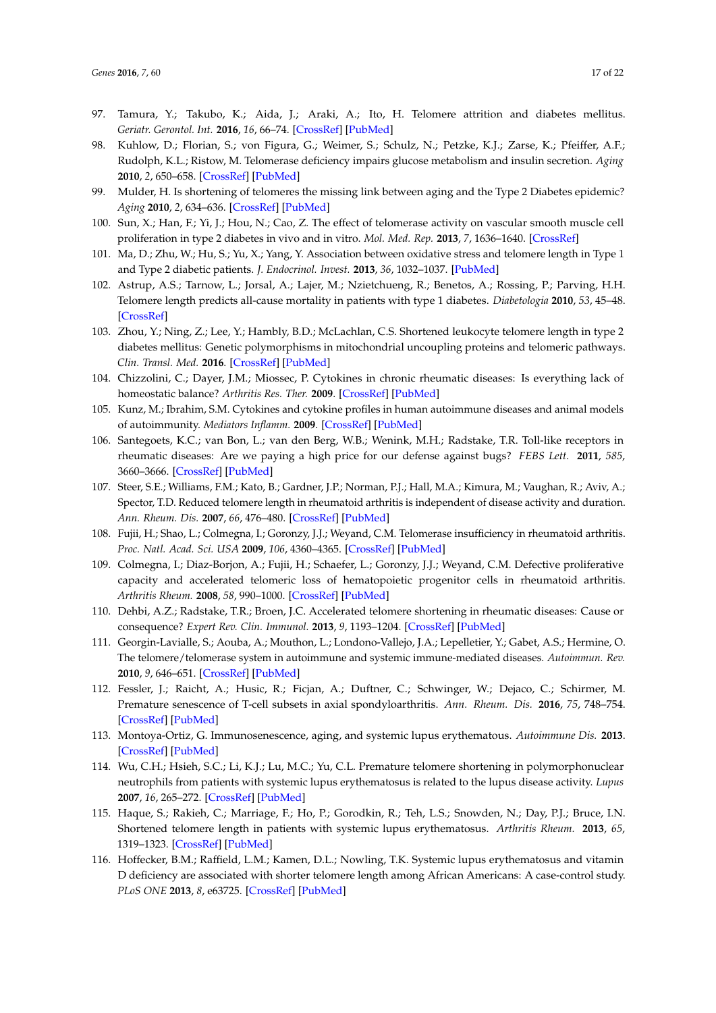- <span id="page-16-0"></span>97. Tamura, Y.; Takubo, K.; Aida, J.; Araki, A.; Ito, H. Telomere attrition and diabetes mellitus. *Geriatr. Gerontol. Int.* **2016**, *16*, 66–74. [\[CrossRef\]](http://dx.doi.org/10.1111/ggi.12738) [\[PubMed\]](http://www.ncbi.nlm.nih.gov/pubmed/27018285)
- <span id="page-16-1"></span>98. Kuhlow, D.; Florian, S.; von Figura, G.; Weimer, S.; Schulz, N.; Petzke, K.J.; Zarse, K.; Pfeiffer, A.F.; Rudolph, K.L.; Ristow, M. Telomerase deficiency impairs glucose metabolism and insulin secretion. *Aging* **2010**, *2*, 650–658. [\[CrossRef\]](http://dx.doi.org/10.18632/aging.100200) [\[PubMed\]](http://www.ncbi.nlm.nih.gov/pubmed/20876939)
- <span id="page-16-2"></span>99. Mulder, H. Is shortening of telomeres the missing link between aging and the Type 2 Diabetes epidemic? *Aging* **2010**, *2*, 634–636. [\[CrossRef\]](http://dx.doi.org/10.18632/aging.100224) [\[PubMed\]](http://www.ncbi.nlm.nih.gov/pubmed/21076183)
- <span id="page-16-3"></span>100. Sun, X.; Han, F.; Yi, J.; Hou, N.; Cao, Z. The effect of telomerase activity on vascular smooth muscle cell proliferation in type 2 diabetes in vivo and in vitro. *Mol. Med. Rep.* **2013**, *7*, 1636–1640. [\[CrossRef\]](http://dx.doi.org/10.3892/mmr.2013.1350)
- <span id="page-16-4"></span>101. Ma, D.; Zhu, W.; Hu, S.; Yu, X.; Yang, Y. Association between oxidative stress and telomere length in Type 1 and Type 2 diabetic patients. *J. Endocrinol. Invest.* **2013**, *36*, 1032–1037. [\[PubMed\]](http://www.ncbi.nlm.nih.gov/pubmed/23873360)
- <span id="page-16-5"></span>102. Astrup, A.S.; Tarnow, L.; Jorsal, A.; Lajer, M.; Nzietchueng, R.; Benetos, A.; Rossing, P.; Parving, H.H. Telomere length predicts all-cause mortality in patients with type 1 diabetes. *Diabetologia* **2010**, *53*, 45–48. [\[CrossRef\]](http://dx.doi.org/10.1007/s00125-009-1542-1)
- <span id="page-16-6"></span>103. Zhou, Y.; Ning, Z.; Lee, Y.; Hambly, B.D.; McLachlan, C.S. Shortened leukocyte telomere length in type 2 diabetes mellitus: Genetic polymorphisms in mitochondrial uncoupling proteins and telomeric pathways. *Clin. Transl. Med.* **2016**. [\[CrossRef\]](http://dx.doi.org/10.1186/s40169-016-0089-2) [\[PubMed\]](http://www.ncbi.nlm.nih.gov/pubmed/26951191)
- <span id="page-16-7"></span>104. Chizzolini, C.; Dayer, J.M.; Miossec, P. Cytokines in chronic rheumatic diseases: Is everything lack of homeostatic balance? *Arthritis Res. Ther.* **2009**. [\[CrossRef\]](http://dx.doi.org/10.1186/ar2767) [\[PubMed\]](http://www.ncbi.nlm.nih.gov/pubmed/19849823)
- <span id="page-16-8"></span>105. Kunz, M.; Ibrahim, S.M. Cytokines and cytokine profiles in human autoimmune diseases and animal models of autoimmunity. *Mediators Inflamm.* **2009**. [\[CrossRef\]](http://dx.doi.org/10.1155/2009/979258) [\[PubMed\]](http://www.ncbi.nlm.nih.gov/pubmed/19884985)
- <span id="page-16-9"></span>106. Santegoets, K.C.; van Bon, L.; van den Berg, W.B.; Wenink, M.H.; Radstake, T.R. Toll-like receptors in rheumatic diseases: Are we paying a high price for our defense against bugs? *FEBS Lett.* **2011**, *585*, 3660–3666. [\[CrossRef\]](http://dx.doi.org/10.1016/j.febslet.2011.04.028) [\[PubMed\]](http://www.ncbi.nlm.nih.gov/pubmed/21513712)
- <span id="page-16-10"></span>107. Steer, S.E.; Williams, F.M.; Kato, B.; Gardner, J.P.; Norman, P.J.; Hall, M.A.; Kimura, M.; Vaughan, R.; Aviv, A.; Spector, T.D. Reduced telomere length in rheumatoid arthritis is independent of disease activity and duration. *Ann. Rheum. Dis.* **2007**, *66*, 476–480. [\[CrossRef\]](http://dx.doi.org/10.1136/ard.2006.059188) [\[PubMed\]](http://www.ncbi.nlm.nih.gov/pubmed/17114192)
- <span id="page-16-13"></span>108. Fujii, H.; Shao, L.; Colmegna, I.; Goronzy, J.J.; Weyand, C.M. Telomerase insufficiency in rheumatoid arthritis. *Proc. Natl. Acad. Sci. USA* **2009**, *106*, 4360–4365. [\[CrossRef\]](http://dx.doi.org/10.1073/pnas.0811332106) [\[PubMed\]](http://www.ncbi.nlm.nih.gov/pubmed/19255426)
- <span id="page-16-11"></span>109. Colmegna, I.; Diaz-Borjon, A.; Fujii, H.; Schaefer, L.; Goronzy, J.J.; Weyand, C.M. Defective proliferative capacity and accelerated telomeric loss of hematopoietic progenitor cells in rheumatoid arthritis. *Arthritis Rheum.* **2008**, *58*, 990–1000. [\[CrossRef\]](http://dx.doi.org/10.1002/art.23287) [\[PubMed\]](http://www.ncbi.nlm.nih.gov/pubmed/18383391)
- <span id="page-16-12"></span>110. Dehbi, A.Z.; Radstake, T.R.; Broen, J.C. Accelerated telomere shortening in rheumatic diseases: Cause or consequence? *Expert Rev. Clin. Immunol.* **2013**, *9*, 1193–1204. [\[CrossRef\]](http://dx.doi.org/10.1586/1744666X.2013.850031) [\[PubMed\]](http://www.ncbi.nlm.nih.gov/pubmed/24215409)
- <span id="page-16-14"></span>111. Georgin-Lavialle, S.; Aouba, A.; Mouthon, L.; Londono-Vallejo, J.A.; Lepelletier, Y.; Gabet, A.S.; Hermine, O. The telomere/telomerase system in autoimmune and systemic immune-mediated diseases. *Autoimmun. Rev.* **2010**, *9*, 646–651. [\[CrossRef\]](http://dx.doi.org/10.1016/j.autrev.2010.04.004) [\[PubMed\]](http://www.ncbi.nlm.nih.gov/pubmed/20435169)
- <span id="page-16-15"></span>112. Fessler, J.; Raicht, A.; Husic, R.; Ficjan, A.; Duftner, C.; Schwinger, W.; Dejaco, C.; Schirmer, M. Premature senescence of T-cell subsets in axial spondyloarthritis. *Ann. Rheum. Dis.* **2016**, *75*, 748–754. [\[CrossRef\]](http://dx.doi.org/10.1136/annrheumdis-2014-206119) [\[PubMed\]](http://www.ncbi.nlm.nih.gov/pubmed/25688074)
- <span id="page-16-16"></span>113. Montoya-Ortiz, G. Immunosenescence, aging, and systemic lupus erythematous. *Autoimmune Dis.* **2013**. [\[CrossRef\]](http://dx.doi.org/10.1155/2013/267078) [\[PubMed\]](http://www.ncbi.nlm.nih.gov/pubmed/24260712)
- <span id="page-16-18"></span>114. Wu, C.H.; Hsieh, S.C.; Li, K.J.; Lu, M.C.; Yu, C.L. Premature telomere shortening in polymorphonuclear neutrophils from patients with systemic lupus erythematosus is related to the lupus disease activity. *Lupus* **2007**, *16*, 265–272. [\[CrossRef\]](http://dx.doi.org/10.1177/0961203307077155) [\[PubMed\]](http://www.ncbi.nlm.nih.gov/pubmed/17439933)
- <span id="page-16-17"></span>115. Haque, S.; Rakieh, C.; Marriage, F.; Ho, P.; Gorodkin, R.; Teh, L.S.; Snowden, N.; Day, P.J.; Bruce, I.N. Shortened telomere length in patients with systemic lupus erythematosus. *Arthritis Rheum.* **2013**, *65*, 1319–1323. [\[CrossRef\]](http://dx.doi.org/10.1002/art.37895) [\[PubMed\]](http://www.ncbi.nlm.nih.gov/pubmed/23400670)
- <span id="page-16-19"></span>116. Hoffecker, B.M.; Raffield, L.M.; Kamen, D.L.; Nowling, T.K. Systemic lupus erythematosus and vitamin D deficiency are associated with shorter telomere length among African Americans: A case-control study. *PLoS ONE* **2013**, *8*, e63725. [\[CrossRef\]](http://dx.doi.org/10.1371/journal.pone.0063725) [\[PubMed\]](http://www.ncbi.nlm.nih.gov/pubmed/23700431)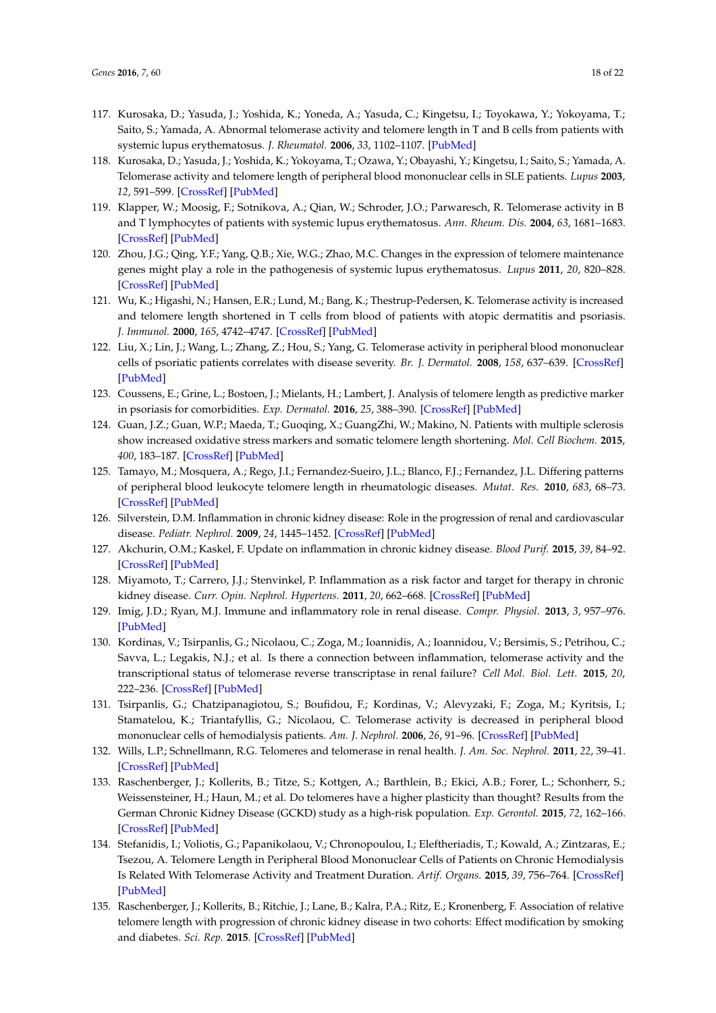- <span id="page-17-0"></span>117. Kurosaka, D.; Yasuda, J.; Yoshida, K.; Yoneda, A.; Yasuda, C.; Kingetsu, I.; Toyokawa, Y.; Yokoyama, T.; Saito, S.; Yamada, A. Abnormal telomerase activity and telomere length in T and B cells from patients with systemic lupus erythematosus. *J. Rheumatol.* **2006**, *33*, 1102–1107. [\[PubMed\]](http://www.ncbi.nlm.nih.gov/pubmed/16755657)
- 118. Kurosaka, D.; Yasuda, J.; Yoshida, K.; Yokoyama, T.; Ozawa, Y.; Obayashi, Y.; Kingetsu, I.; Saito, S.; Yamada, A. Telomerase activity and telomere length of peripheral blood mononuclear cells in SLE patients. *Lupus* **2003**, *12*, 591–599. [\[CrossRef\]](http://dx.doi.org/10.1191/0961203303lu426oa) [\[PubMed\]](http://www.ncbi.nlm.nih.gov/pubmed/12945717)
- <span id="page-17-1"></span>119. Klapper, W.; Moosig, F.; Sotnikova, A.; Qian, W.; Schroder, J.O.; Parwaresch, R. Telomerase activity in B and T lymphocytes of patients with systemic lupus erythematosus. *Ann. Rheum. Dis.* **2004**, *63*, 1681–1683. [\[CrossRef\]](http://dx.doi.org/10.1136/ard.2003.016022) [\[PubMed\]](http://www.ncbi.nlm.nih.gov/pubmed/15547095)
- <span id="page-17-2"></span>120. Zhou, J.G.; Qing, Y.F.; Yang, Q.B.; Xie, W.G.; Zhao, M.C. Changes in the expression of telomere maintenance genes might play a role in the pathogenesis of systemic lupus erythematosus. *Lupus* **2011**, *20*, 820–828. [\[CrossRef\]](http://dx.doi.org/10.1177/0961203310397964) [\[PubMed\]](http://www.ncbi.nlm.nih.gov/pubmed/21693493)
- <span id="page-17-3"></span>121. Wu, K.; Higashi, N.; Hansen, E.R.; Lund, M.; Bang, K.; Thestrup-Pedersen, K. Telomerase activity is increased and telomere length shortened in T cells from blood of patients with atopic dermatitis and psoriasis. *J. Immunol.* **2000**, *165*, 4742–4747. [\[CrossRef\]](http://dx.doi.org/10.4049/jimmunol.165.8.4742) [\[PubMed\]](http://www.ncbi.nlm.nih.gov/pubmed/11035119)
- <span id="page-17-4"></span>122. Liu, X.; Lin, J.; Wang, L.; Zhang, Z.; Hou, S.; Yang, G. Telomerase activity in peripheral blood mononuclear cells of psoriatic patients correlates with disease severity. *Br. J. Dermatol.* **2008**, *158*, 637–639. [\[CrossRef\]](http://dx.doi.org/10.1111/j.1365-2133.2007.08377.x) [\[PubMed\]](http://www.ncbi.nlm.nih.gov/pubmed/18076701)
- <span id="page-17-5"></span>123. Coussens, E.; Grine, L.; Bostoen, J.; Mielants, H.; Lambert, J. Analysis of telomere length as predictive marker in psoriasis for comorbidities. *Exp. Dermatol.* **2016**, *25*, 388–390. [\[CrossRef\]](http://dx.doi.org/10.1111/exd.12959) [\[PubMed\]](http://www.ncbi.nlm.nih.gov/pubmed/26835596)
- <span id="page-17-6"></span>124. Guan, J.Z.; Guan, W.P.; Maeda, T.; Guoqing, X.; GuangZhi, W.; Makino, N. Patients with multiple sclerosis show increased oxidative stress markers and somatic telomere length shortening. *Mol. Cell Biochem.* **2015**, *400*, 183–187. [\[CrossRef\]](http://dx.doi.org/10.1007/s11010-014-2274-1) [\[PubMed\]](http://www.ncbi.nlm.nih.gov/pubmed/25424527)
- <span id="page-17-7"></span>125. Tamayo, M.; Mosquera, A.; Rego, J.I.; Fernandez-Sueiro, J.L.; Blanco, F.J.; Fernandez, J.L. Differing patterns of peripheral blood leukocyte telomere length in rheumatologic diseases. *Mutat. Res.* **2010**, *683*, 68–73. [\[CrossRef\]](http://dx.doi.org/10.1016/j.mrfmmm.2009.10.010) [\[PubMed\]](http://www.ncbi.nlm.nih.gov/pubmed/19879280)
- <span id="page-17-8"></span>126. Silverstein, D.M. Inflammation in chronic kidney disease: Role in the progression of renal and cardiovascular disease. *Pediatr. Nephrol.* **2009**, *24*, 1445–1452. [\[CrossRef\]](http://dx.doi.org/10.1007/s00467-008-1046-0) [\[PubMed\]](http://www.ncbi.nlm.nih.gov/pubmed/19083024)
- <span id="page-17-9"></span>127. Akchurin, O.M.; Kaskel, F. Update on inflammation in chronic kidney disease. *Blood Purif.* **2015**, *39*, 84–92. [\[CrossRef\]](http://dx.doi.org/10.1159/000368940) [\[PubMed\]](http://www.ncbi.nlm.nih.gov/pubmed/25662331)
- <span id="page-17-10"></span>128. Miyamoto, T.; Carrero, J.J.; Stenvinkel, P. Inflammation as a risk factor and target for therapy in chronic kidney disease. *Curr. Opin. Nephrol. Hypertens.* **2011**, *20*, 662–668. [\[CrossRef\]](http://dx.doi.org/10.1097/MNH.0b013e32834ad504) [\[PubMed\]](http://www.ncbi.nlm.nih.gov/pubmed/21825982)
- <span id="page-17-11"></span>129. Imig, J.D.; Ryan, M.J. Immune and inflammatory role in renal disease. *Compr. Physiol.* **2013**, *3*, 957–976. [\[PubMed\]](http://www.ncbi.nlm.nih.gov/pubmed/23720336)
- <span id="page-17-12"></span>130. Kordinas, V.; Tsirpanlis, G.; Nicolaou, C.; Zoga, M.; Ioannidis, A.; Ioannidou, V.; Bersimis, S.; Petrihou, C.; Savva, L.; Legakis, N.J.; et al. Is there a connection between inflammation, telomerase activity and the transcriptional status of telomerase reverse transcriptase in renal failure? *Cell Mol. Biol. Lett.* **2015**, *20*, 222–236. [\[CrossRef\]](http://dx.doi.org/10.1515/cmble-2015-0016) [\[PubMed\]](http://www.ncbi.nlm.nih.gov/pubmed/26204404)
- <span id="page-17-13"></span>131. Tsirpanlis, G.; Chatzipanagiotou, S.; Boufidou, F.; Kordinas, V.; Alevyzaki, F.; Zoga, M.; Kyritsis, I.; Stamatelou, K.; Triantafyllis, G.; Nicolaou, C. Telomerase activity is decreased in peripheral blood mononuclear cells of hemodialysis patients. *Am. J. Nephrol.* **2006**, *26*, 91–96. [\[CrossRef\]](http://dx.doi.org/10.1159/000092031) [\[PubMed\]](http://www.ncbi.nlm.nih.gov/pubmed/16543712)
- <span id="page-17-14"></span>132. Wills, L.P.; Schnellmann, R.G. Telomeres and telomerase in renal health. *J. Am. Soc. Nephrol.* **2011**, *22*, 39–41. [\[CrossRef\]](http://dx.doi.org/10.1681/ASN.2010060662) [\[PubMed\]](http://www.ncbi.nlm.nih.gov/pubmed/21209253)
- <span id="page-17-15"></span>133. Raschenberger, J.; Kollerits, B.; Titze, S.; Kottgen, A.; Barthlein, B.; Ekici, A.B.; Forer, L.; Schonherr, S.; Weissensteiner, H.; Haun, M.; et al. Do telomeres have a higher plasticity than thought? Results from the German Chronic Kidney Disease (GCKD) study as a high-risk population. *Exp. Gerontol.* **2015**, *72*, 162–166. [\[CrossRef\]](http://dx.doi.org/10.1016/j.exger.2015.09.019) [\[PubMed\]](http://www.ncbi.nlm.nih.gov/pubmed/26423240)
- <span id="page-17-16"></span>134. Stefanidis, I.; Voliotis, G.; Papanikolaou, V.; Chronopoulou, I.; Eleftheriadis, T.; Kowald, A.; Zintzaras, E.; Tsezou, A. Telomere Length in Peripheral Blood Mononuclear Cells of Patients on Chronic Hemodialysis Is Related With Telomerase Activity and Treatment Duration. *Artif. Organs.* **2015**, *39*, 756–764. [\[CrossRef\]](http://dx.doi.org/10.1111/aor.12453) [\[PubMed\]](http://www.ncbi.nlm.nih.gov/pubmed/25894013)
- <span id="page-17-17"></span>135. Raschenberger, J.; Kollerits, B.; Ritchie, J.; Lane, B.; Kalra, P.A.; Ritz, E.; Kronenberg, F. Association of relative telomere length with progression of chronic kidney disease in two cohorts: Effect modification by smoking and diabetes. *Sci. Rep.* **2015**. [\[CrossRef\]](http://dx.doi.org/10.1038/srep11887) [\[PubMed\]](http://www.ncbi.nlm.nih.gov/pubmed/26149682)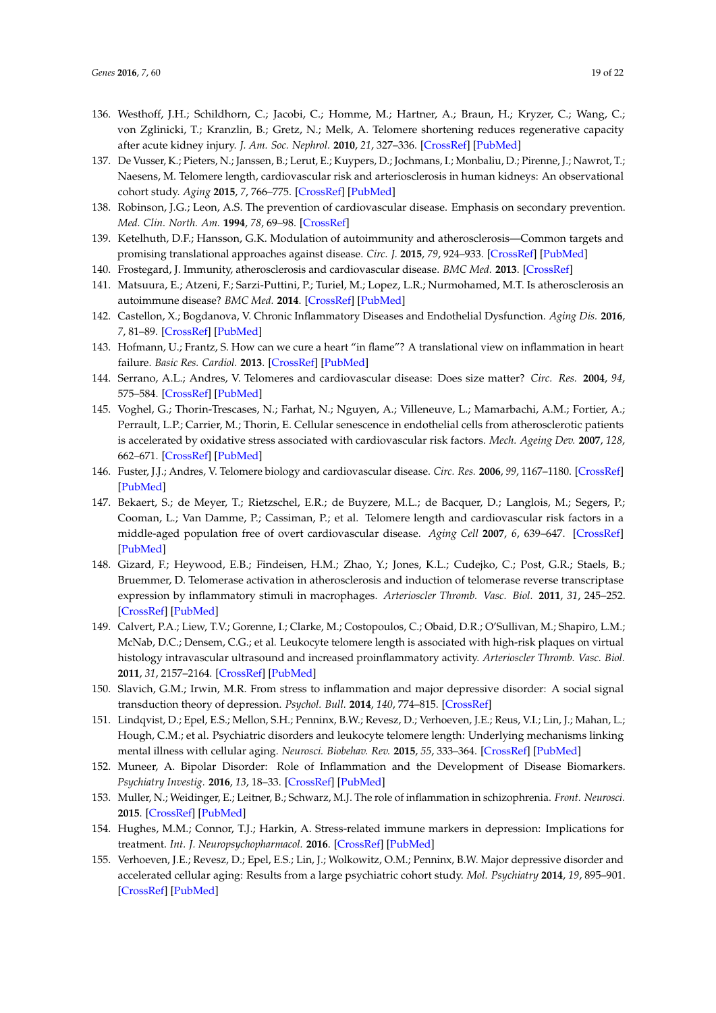- <span id="page-18-0"></span>136. Westhoff, J.H.; Schildhorn, C.; Jacobi, C.; Homme, M.; Hartner, A.; Braun, H.; Kryzer, C.; Wang, C.; von Zglinicki, T.; Kranzlin, B.; Gretz, N.; Melk, A. Telomere shortening reduces regenerative capacity after acute kidney injury. *J. Am. Soc. Nephrol.* **2010**, *21*, 327–336. [\[CrossRef\]](http://dx.doi.org/10.1681/ASN.2009010072) [\[PubMed\]](http://www.ncbi.nlm.nih.gov/pubmed/19959722)
- <span id="page-18-1"></span>137. De Vusser, K.; Pieters, N.; Janssen, B.; Lerut, E.; Kuypers, D.; Jochmans, I.; Monbaliu, D.; Pirenne, J.; Nawrot, T.; Naesens, M. Telomere length, cardiovascular risk and arteriosclerosis in human kidneys: An observational cohort study. *Aging* **2015**, *7*, 766–775. [\[CrossRef\]](http://dx.doi.org/10.18632/aging.100814) [\[PubMed\]](http://www.ncbi.nlm.nih.gov/pubmed/26539975)
- <span id="page-18-2"></span>138. Robinson, J.G.; Leon, A.S. The prevention of cardiovascular disease. Emphasis on secondary prevention. *Med. Clin. North. Am.* **1994**, *78*, 69–98. [\[CrossRef\]](http://dx.doi.org/10.1016/S0025-7125(16)30177-8)
- <span id="page-18-3"></span>139. Ketelhuth, D.F.; Hansson, G.K. Modulation of autoimmunity and atherosclerosis—Common targets and promising translational approaches against disease. *Circ. J.* **2015**, *79*, 924–933. [\[CrossRef\]](http://dx.doi.org/10.1253/circj.CJ-15-0167) [\[PubMed\]](http://www.ncbi.nlm.nih.gov/pubmed/25766275)
- <span id="page-18-4"></span>140. Frostegard, J. Immunity, atherosclerosis and cardiovascular disease. *BMC Med.* **2013**. [\[CrossRef\]](http://dx.doi.org/10.1186/1741-7015-11-117)
- <span id="page-18-5"></span>141. Matsuura, E.; Atzeni, F.; Sarzi-Puttini, P.; Turiel, M.; Lopez, L.R.; Nurmohamed, M.T. Is atherosclerosis an autoimmune disease? *BMC Med.* **2014**. [\[CrossRef\]](http://dx.doi.org/10.1186/1741-7015-12-47) [\[PubMed\]](http://www.ncbi.nlm.nih.gov/pubmed/24642015)
- <span id="page-18-6"></span>142. Castellon, X.; Bogdanova, V. Chronic Inflammatory Diseases and Endothelial Dysfunction. *Aging Dis.* **2016**, *7*, 81–89. [\[CrossRef\]](http://dx.doi.org/10.14336/AD.2015.0803) [\[PubMed\]](http://www.ncbi.nlm.nih.gov/pubmed/26815098)
- <span id="page-18-7"></span>143. Hofmann, U.; Frantz, S. How can we cure a heart "in flame"? A translational view on inflammation in heart failure. *Basic Res. Cardiol.* **2013**. [\[CrossRef\]](http://dx.doi.org/10.1007/s00395-013-0356-y) [\[PubMed\]](http://www.ncbi.nlm.nih.gov/pubmed/23740214)
- <span id="page-18-8"></span>144. Serrano, A.L.; Andres, V. Telomeres and cardiovascular disease: Does size matter? *Circ. Res.* **2004**, *94*, 575–584. [\[CrossRef\]](http://dx.doi.org/10.1161/01.RES.0000122141.18795.9C) [\[PubMed\]](http://www.ncbi.nlm.nih.gov/pubmed/15031270)
- <span id="page-18-9"></span>145. Voghel, G.; Thorin-Trescases, N.; Farhat, N.; Nguyen, A.; Villeneuve, L.; Mamarbachi, A.M.; Fortier, A.; Perrault, L.P.; Carrier, M.; Thorin, E. Cellular senescence in endothelial cells from atherosclerotic patients is accelerated by oxidative stress associated with cardiovascular risk factors. *Mech. Ageing Dev.* **2007**, *128*, 662–671. [\[CrossRef\]](http://dx.doi.org/10.1016/j.mad.2007.09.006) [\[PubMed\]](http://www.ncbi.nlm.nih.gov/pubmed/18022214)
- <span id="page-18-10"></span>146. Fuster, J.J.; Andres, V. Telomere biology and cardiovascular disease. *Circ. Res.* **2006**, *99*, 1167–1180. [\[CrossRef\]](http://dx.doi.org/10.1161/01.RES.0000251281.00845.18) [\[PubMed\]](http://www.ncbi.nlm.nih.gov/pubmed/17122447)
- <span id="page-18-11"></span>147. Bekaert, S.; de Meyer, T.; Rietzschel, E.R.; de Buyzere, M.L.; de Bacquer, D.; Langlois, M.; Segers, P.; Cooman, L.; Van Damme, P.; Cassiman, P.; et al. Telomere length and cardiovascular risk factors in a middle-aged population free of overt cardiovascular disease. *Aging Cell* **2007**, *6*, 639–647. [\[CrossRef\]](http://dx.doi.org/10.1111/j.1474-9726.2007.00321.x) [\[PubMed\]](http://www.ncbi.nlm.nih.gov/pubmed/17874998)
- <span id="page-18-12"></span>148. Gizard, F.; Heywood, E.B.; Findeisen, H.M.; Zhao, Y.; Jones, K.L.; Cudejko, C.; Post, G.R.; Staels, B.; Bruemmer, D. Telomerase activation in atherosclerosis and induction of telomerase reverse transcriptase expression by inflammatory stimuli in macrophages. *Arterioscler Thromb. Vasc. Biol.* **2011**, *31*, 245–252. [\[CrossRef\]](http://dx.doi.org/10.1161/ATVBAHA.110.219808) [\[PubMed\]](http://www.ncbi.nlm.nih.gov/pubmed/21106948)
- <span id="page-18-13"></span>149. Calvert, P.A.; Liew, T.V.; Gorenne, I.; Clarke, M.; Costopoulos, C.; Obaid, D.R.; O'Sullivan, M.; Shapiro, L.M.; McNab, D.C.; Densem, C.G.; et al. Leukocyte telomere length is associated with high-risk plaques on virtual histology intravascular ultrasound and increased proinflammatory activity. *Arterioscler Thromb. Vasc. Biol.* **2011**, *31*, 2157–2164. [\[CrossRef\]](http://dx.doi.org/10.1161/ATVBAHA.111.229237) [\[PubMed\]](http://www.ncbi.nlm.nih.gov/pubmed/21680897)
- <span id="page-18-14"></span>150. Slavich, G.M.; Irwin, M.R. From stress to inflammation and major depressive disorder: A social signal transduction theory of depression. *Psychol. Bull.* **2014**, *140*, 774–815. [\[CrossRef\]](http://dx.doi.org/10.1037/a0035302)
- <span id="page-18-18"></span>151. Lindqvist, D.; Epel, E.S.; Mellon, S.H.; Penninx, B.W.; Revesz, D.; Verhoeven, J.E.; Reus, V.I.; Lin, J.; Mahan, L.; Hough, C.M.; et al. Psychiatric disorders and leukocyte telomere length: Underlying mechanisms linking mental illness with cellular aging. *Neurosci. Biobehav. Rev.* **2015**, *55*, 333–364. [\[CrossRef\]](http://dx.doi.org/10.1016/j.neubiorev.2015.05.007) [\[PubMed\]](http://www.ncbi.nlm.nih.gov/pubmed/25999120)
- <span id="page-18-17"></span>152. Muneer, A. Bipolar Disorder: Role of Inflammation and the Development of Disease Biomarkers. *Psychiatry Investig.* **2016**, *13*, 18–33. [\[CrossRef\]](http://dx.doi.org/10.4306/pi.2016.13.1.18) [\[PubMed\]](http://www.ncbi.nlm.nih.gov/pubmed/26766943)
- <span id="page-18-15"></span>153. Muller, N.; Weidinger, E.; Leitner, B.; Schwarz, M.J. The role of inflammation in schizophrenia. *Front. Neurosci.* **2015**. [\[CrossRef\]](http://dx.doi.org/10.3389/fnins.2015.00372) [\[PubMed\]](http://www.ncbi.nlm.nih.gov/pubmed/26539073)
- <span id="page-18-16"></span>154. Hughes, M.M.; Connor, T.J.; Harkin, A. Stress-related immune markers in depression: Implications for treatment. *Int. J. Neuropsychopharmacol.* **2016**. [\[CrossRef\]](http://dx.doi.org/10.1093/ijnp/pyw001) [\[PubMed\]](http://www.ncbi.nlm.nih.gov/pubmed/26775294)
- <span id="page-18-19"></span>155. Verhoeven, J.E.; Revesz, D.; Epel, E.S.; Lin, J.; Wolkowitz, O.M.; Penninx, B.W. Major depressive disorder and accelerated cellular aging: Results from a large psychiatric cohort study. *Mol. Psychiatry* **2014**, *19*, 895–901. [\[CrossRef\]](http://dx.doi.org/10.1038/mp.2013.151) [\[PubMed\]](http://www.ncbi.nlm.nih.gov/pubmed/24217256)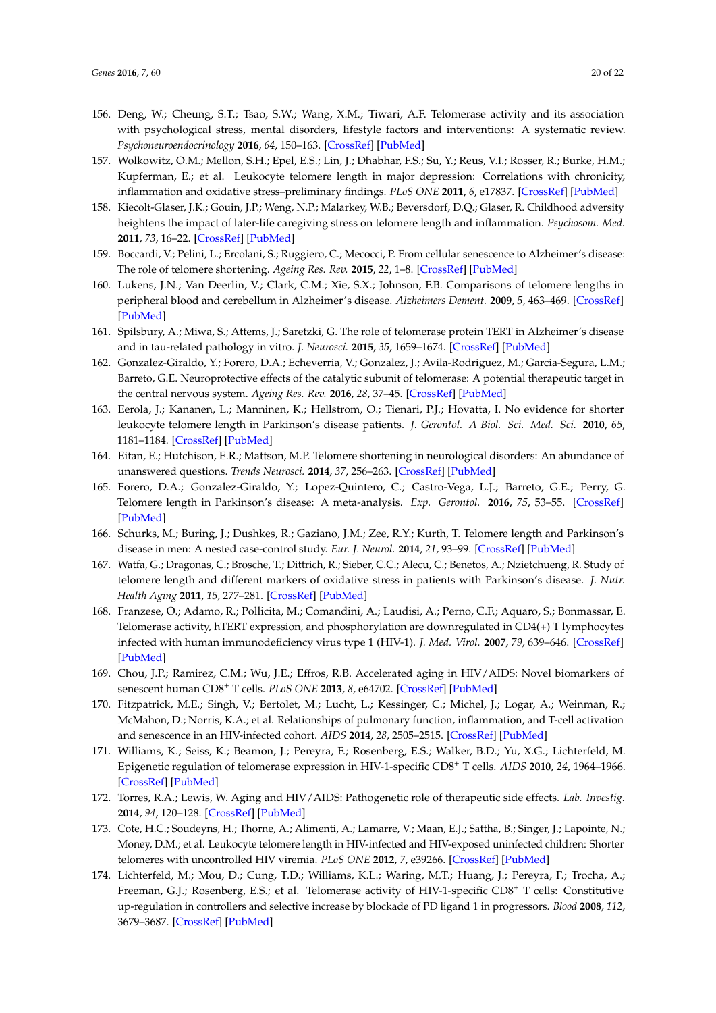- <span id="page-19-0"></span>156. Deng, W.; Cheung, S.T.; Tsao, S.W.; Wang, X.M.; Tiwari, A.F. Telomerase activity and its association with psychological stress, mental disorders, lifestyle factors and interventions: A systematic review. *Psychoneuroendocrinology* **2016**, *64*, 150–163. [\[CrossRef\]](http://dx.doi.org/10.1016/j.psyneuen.2015.11.017) [\[PubMed\]](http://www.ncbi.nlm.nih.gov/pubmed/26677763)
- <span id="page-19-1"></span>157. Wolkowitz, O.M.; Mellon, S.H.; Epel, E.S.; Lin, J.; Dhabhar, F.S.; Su, Y.; Reus, V.I.; Rosser, R.; Burke, H.M.; Kupferman, E.; et al. Leukocyte telomere length in major depression: Correlations with chronicity, inflammation and oxidative stress–preliminary findings. *PLoS ONE* **2011**, *6*, e17837. [\[CrossRef\]](http://dx.doi.org/10.1371/journal.pone.0017837) [\[PubMed\]](http://www.ncbi.nlm.nih.gov/pubmed/21448457)
- <span id="page-19-2"></span>158. Kiecolt-Glaser, J.K.; Gouin, J.P.; Weng, N.P.; Malarkey, W.B.; Beversdorf, D.Q.; Glaser, R. Childhood adversity heightens the impact of later-life caregiving stress on telomere length and inflammation. *Psychosom. Med.* **2011**, *73*, 16–22. [\[CrossRef\]](http://dx.doi.org/10.1097/PSY.0b013e31820573b6) [\[PubMed\]](http://www.ncbi.nlm.nih.gov/pubmed/21148804)
- <span id="page-19-3"></span>159. Boccardi, V.; Pelini, L.; Ercolani, S.; Ruggiero, C.; Mecocci, P. From cellular senescence to Alzheimer's disease: The role of telomere shortening. *Ageing Res. Rev.* **2015**, *22*, 1–8. [\[CrossRef\]](http://dx.doi.org/10.1016/j.arr.2015.04.003) [\[PubMed\]](http://www.ncbi.nlm.nih.gov/pubmed/25896211)
- <span id="page-19-4"></span>160. Lukens, J.N.; Van Deerlin, V.; Clark, C.M.; Xie, S.X.; Johnson, F.B. Comparisons of telomere lengths in peripheral blood and cerebellum in Alzheimer's disease. *Alzheimers Dement.* **2009**, *5*, 463–469. [\[CrossRef\]](http://dx.doi.org/10.1016/j.jalz.2009.05.666) [\[PubMed\]](http://www.ncbi.nlm.nih.gov/pubmed/19896585)
- <span id="page-19-5"></span>161. Spilsbury, A.; Miwa, S.; Attems, J.; Saretzki, G. The role of telomerase protein TERT in Alzheimer's disease and in tau-related pathology in vitro. *J. Neurosci.* **2015**, *35*, 1659–1674. [\[CrossRef\]](http://dx.doi.org/10.1523/JNEUROSCI.2925-14.2015) [\[PubMed\]](http://www.ncbi.nlm.nih.gov/pubmed/25632141)
- <span id="page-19-6"></span>162. Gonzalez-Giraldo, Y.; Forero, D.A.; Echeverria, V.; Gonzalez, J.; Avila-Rodriguez, M.; Garcia-Segura, L.M.; Barreto, G.E. Neuroprotective effects of the catalytic subunit of telomerase: A potential therapeutic target in the central nervous system. *Ageing Res. Rev.* **2016**, *28*, 37–45. [\[CrossRef\]](http://dx.doi.org/10.1016/j.arr.2016.04.004) [\[PubMed\]](http://www.ncbi.nlm.nih.gov/pubmed/27095058)
- <span id="page-19-7"></span>163. Eerola, J.; Kananen, L.; Manninen, K.; Hellstrom, O.; Tienari, P.J.; Hovatta, I. No evidence for shorter leukocyte telomere length in Parkinson's disease patients. *J. Gerontol. A Biol. Sci. Med. Sci.* **2010**, *65*, 1181–1184. [\[CrossRef\]](http://dx.doi.org/10.1093/gerona/glq125) [\[PubMed\]](http://www.ncbi.nlm.nih.gov/pubmed/20639300)
- <span id="page-19-8"></span>164. Eitan, E.; Hutchison, E.R.; Mattson, M.P. Telomere shortening in neurological disorders: An abundance of unanswered questions. *Trends Neurosci.* **2014**, *37*, 256–263. [\[CrossRef\]](http://dx.doi.org/10.1016/j.tins.2014.02.010) [\[PubMed\]](http://www.ncbi.nlm.nih.gov/pubmed/24698125)
- <span id="page-19-9"></span>165. Forero, D.A.; Gonzalez-Giraldo, Y.; Lopez-Quintero, C.; Castro-Vega, L.J.; Barreto, G.E.; Perry, G. Telomere length in Parkinson's disease: A meta-analysis. *Exp. Gerontol.* **2016**, *75*, 53–55. [\[CrossRef\]](http://dx.doi.org/10.1016/j.exger.2016.01.002) [\[PubMed\]](http://www.ncbi.nlm.nih.gov/pubmed/26772888)
- <span id="page-19-10"></span>166. Schurks, M.; Buring, J.; Dushkes, R.; Gaziano, J.M.; Zee, R.Y.; Kurth, T. Telomere length and Parkinson's disease in men: A nested case-control study. *Eur. J. Neurol.* **2014**, *21*, 93–99. [\[CrossRef\]](http://dx.doi.org/10.1111/ene.12252) [\[PubMed\]](http://www.ncbi.nlm.nih.gov/pubmed/24010387)
- <span id="page-19-11"></span>167. Watfa, G.; Dragonas, C.; Brosche, T.; Dittrich, R.; Sieber, C.C.; Alecu, C.; Benetos, A.; Nzietchueng, R. Study of telomere length and different markers of oxidative stress in patients with Parkinson's disease. *J. Nutr. Health Aging* **2011**, *15*, 277–281. [\[CrossRef\]](http://dx.doi.org/10.1007/s12603-010-0275-7) [\[PubMed\]](http://www.ncbi.nlm.nih.gov/pubmed/21437559)
- <span id="page-19-12"></span>168. Franzese, O.; Adamo, R.; Pollicita, M.; Comandini, A.; Laudisi, A.; Perno, C.F.; Aquaro, S.; Bonmassar, E. Telomerase activity, hTERT expression, and phosphorylation are downregulated in CD4(+) T lymphocytes infected with human immunodeficiency virus type 1 (HIV-1). *J. Med. Virol.* **2007**, *79*, 639–646. [\[CrossRef\]](http://dx.doi.org/10.1002/jmv.20855) [\[PubMed\]](http://www.ncbi.nlm.nih.gov/pubmed/17387751)
- <span id="page-19-15"></span>169. Chou, J.P.; Ramirez, C.M.; Wu, J.E.; Effros, R.B. Accelerated aging in HIV/AIDS: Novel biomarkers of senescent human CD8<sup>+</sup> T cells. *PLoS ONE* **2013**, *8*, e64702. [\[CrossRef\]](http://dx.doi.org/10.1371/journal.pone.0064702) [\[PubMed\]](http://www.ncbi.nlm.nih.gov/pubmed/23717651)
- <span id="page-19-14"></span>170. Fitzpatrick, M.E.; Singh, V.; Bertolet, M.; Lucht, L.; Kessinger, C.; Michel, J.; Logar, A.; Weinman, R.; McMahon, D.; Norris, K.A.; et al. Relationships of pulmonary function, inflammation, and T-cell activation and senescence in an HIV-infected cohort. *AIDS* **2014**, *28*, 2505–2515. [\[CrossRef\]](http://dx.doi.org/10.1097/QAD.0000000000000471) [\[PubMed\]](http://www.ncbi.nlm.nih.gov/pubmed/25574956)
- <span id="page-19-13"></span>171. Williams, K.; Seiss, K.; Beamon, J.; Pereyra, F.; Rosenberg, E.S.; Walker, B.D.; Yu, X.G.; Lichterfeld, M. Epigenetic regulation of telomerase expression in HIV-1-specific CD8<sup>+</sup> T cells. *AIDS* **2010**, *24*, 1964–1966. [\[CrossRef\]](http://dx.doi.org/10.1097/QAD.0b013e32833c7170) [\[PubMed\]](http://www.ncbi.nlm.nih.gov/pubmed/20588158)
- <span id="page-19-16"></span>172. Torres, R.A.; Lewis, W. Aging and HIV/AIDS: Pathogenetic role of therapeutic side effects. *Lab. Investig.* **2014**, *94*, 120–128. [\[CrossRef\]](http://dx.doi.org/10.1038/labinvest.2013.142) [\[PubMed\]](http://www.ncbi.nlm.nih.gov/pubmed/24336070)
- <span id="page-19-17"></span>173. Cote, H.C.; Soudeyns, H.; Thorne, A.; Alimenti, A.; Lamarre, V.; Maan, E.J.; Sattha, B.; Singer, J.; Lapointe, N.; Money, D.M.; et al. Leukocyte telomere length in HIV-infected and HIV-exposed uninfected children: Shorter telomeres with uncontrolled HIV viremia. *PLoS ONE* **2012**, *7*, e39266. [\[CrossRef\]](http://dx.doi.org/10.1371/journal.pone.0039266) [\[PubMed\]](http://www.ncbi.nlm.nih.gov/pubmed/22815702)
- 174. Lichterfeld, M.; Mou, D.; Cung, T.D.; Williams, K.L.; Waring, M.T.; Huang, J.; Pereyra, F.; Trocha, A.; Freeman, G.J.; Rosenberg, E.S.; et al. Telomerase activity of HIV-1-specific CD8<sup>+</sup> T cells: Constitutive up-regulation in controllers and selective increase by blockade of PD ligand 1 in progressors. *Blood* **2008**, *112*, 3679–3687. [\[CrossRef\]](http://dx.doi.org/10.1182/blood-2008-01-135442) [\[PubMed\]](http://www.ncbi.nlm.nih.gov/pubmed/18728248)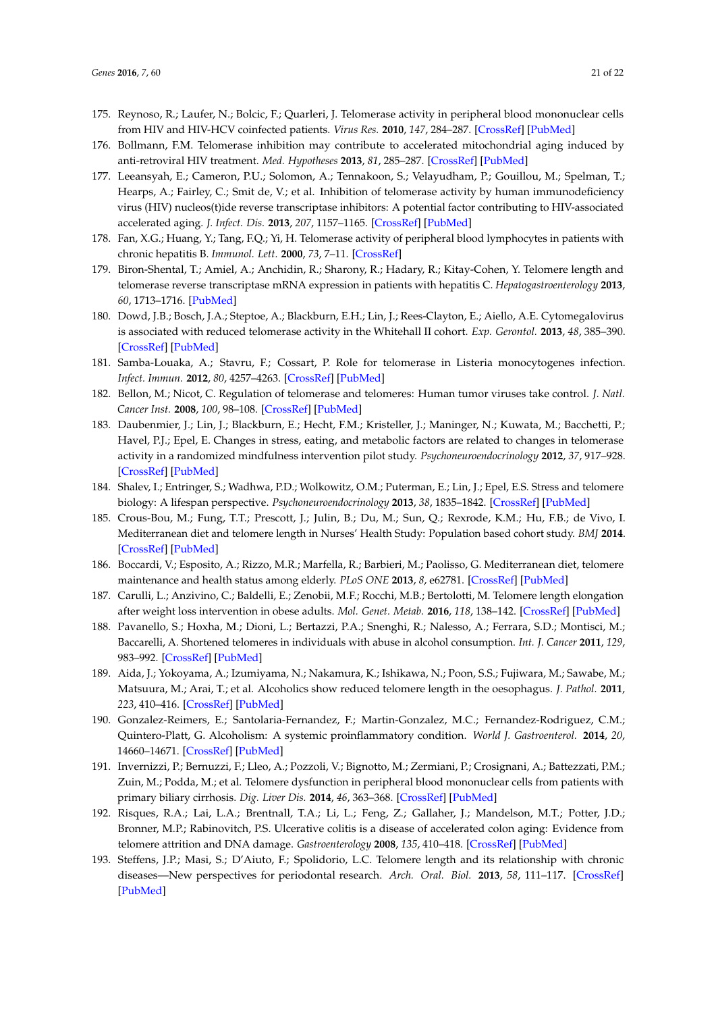- <span id="page-20-0"></span>175. Reynoso, R.; Laufer, N.; Bolcic, F.; Quarleri, J. Telomerase activity in peripheral blood mononuclear cells from HIV and HIV-HCV coinfected patients. *Virus Res.* **2010**, *147*, 284–287. [\[CrossRef\]](http://dx.doi.org/10.1016/j.virusres.2009.11.006) [\[PubMed\]](http://www.ncbi.nlm.nih.gov/pubmed/19932142)
- <span id="page-20-1"></span>176. Bollmann, F.M. Telomerase inhibition may contribute to accelerated mitochondrial aging induced by anti-retroviral HIV treatment. *Med. Hypotheses* **2013**, *81*, 285–287. [\[CrossRef\]](http://dx.doi.org/10.1016/j.mehy.2013.04.028) [\[PubMed\]](http://www.ncbi.nlm.nih.gov/pubmed/23679995)
- <span id="page-20-2"></span>177. Leeansyah, E.; Cameron, P.U.; Solomon, A.; Tennakoon, S.; Velayudham, P.; Gouillou, M.; Spelman, T.; Hearps, A.; Fairley, C.; Smit de, V.; et al. Inhibition of telomerase activity by human immunodeficiency virus (HIV) nucleos(t)ide reverse transcriptase inhibitors: A potential factor contributing to HIV-associated accelerated aging. *J. Infect. Dis.* **2013**, *207*, 1157–1165. [\[CrossRef\]](http://dx.doi.org/10.1093/infdis/jit006) [\[PubMed\]](http://www.ncbi.nlm.nih.gov/pubmed/23303810)
- <span id="page-20-3"></span>178. Fan, X.G.; Huang, Y.; Tang, F.Q.; Yi, H. Telomerase activity of peripheral blood lymphocytes in patients with chronic hepatitis B. *Immunol. Lett.* **2000**, *73*, 7–11. [\[CrossRef\]](http://dx.doi.org/10.1016/S0165-2478(00)00187-5)
- <span id="page-20-4"></span>179. Biron-Shental, T.; Amiel, A.; Anchidin, R.; Sharony, R.; Hadary, R.; Kitay-Cohen, Y. Telomere length and telomerase reverse transcriptase mRNA expression in patients with hepatitis C. *Hepatogastroenterology* **2013**, *60*, 1713–1716. [\[PubMed\]](http://www.ncbi.nlm.nih.gov/pubmed/24634940)
- <span id="page-20-5"></span>180. Dowd, J.B.; Bosch, J.A.; Steptoe, A.; Blackburn, E.H.; Lin, J.; Rees-Clayton, E.; Aiello, A.E. Cytomegalovirus is associated with reduced telomerase activity in the Whitehall II cohort. *Exp. Gerontol.* **2013**, *48*, 385–390. [\[CrossRef\]](http://dx.doi.org/10.1016/j.exger.2013.01.016) [\[PubMed\]](http://www.ncbi.nlm.nih.gov/pubmed/23403382)
- <span id="page-20-6"></span>181. Samba-Louaka, A.; Stavru, F.; Cossart, P. Role for telomerase in Listeria monocytogenes infection. *Infect. Immun.* **2012**, *80*, 4257–4263. [\[CrossRef\]](http://dx.doi.org/10.1128/IAI.00614-12) [\[PubMed\]](http://www.ncbi.nlm.nih.gov/pubmed/23006849)
- <span id="page-20-7"></span>182. Bellon, M.; Nicot, C. Regulation of telomerase and telomeres: Human tumor viruses take control. *J. Natl. Cancer Inst.* **2008**, *100*, 98–108. [\[CrossRef\]](http://dx.doi.org/10.1093/jnci/djm269) [\[PubMed\]](http://www.ncbi.nlm.nih.gov/pubmed/18182620)
- <span id="page-20-8"></span>183. Daubenmier, J.; Lin, J.; Blackburn, E.; Hecht, F.M.; Kristeller, J.; Maninger, N.; Kuwata, M.; Bacchetti, P.; Havel, P.J.; Epel, E. Changes in stress, eating, and metabolic factors are related to changes in telomerase activity in a randomized mindfulness intervention pilot study. *Psychoneuroendocrinology* **2012**, *37*, 917–928. [\[CrossRef\]](http://dx.doi.org/10.1016/j.psyneuen.2011.10.008) [\[PubMed\]](http://www.ncbi.nlm.nih.gov/pubmed/22169588)
- <span id="page-20-9"></span>184. Shalev, I.; Entringer, S.; Wadhwa, P.D.; Wolkowitz, O.M.; Puterman, E.; Lin, J.; Epel, E.S. Stress and telomere biology: A lifespan perspective. *Psychoneuroendocrinology* **2013**, *38*, 1835–1842. [\[CrossRef\]](http://dx.doi.org/10.1016/j.psyneuen.2013.03.010) [\[PubMed\]](http://www.ncbi.nlm.nih.gov/pubmed/23639252)
- <span id="page-20-10"></span>185. Crous-Bou, M.; Fung, T.T.; Prescott, J.; Julin, B.; Du, M.; Sun, Q.; Rexrode, K.M.; Hu, F.B.; de Vivo, I. Mediterranean diet and telomere length in Nurses' Health Study: Population based cohort study. *BMJ* **2014**. [\[CrossRef\]](http://dx.doi.org/10.1136/bmj.g6674) [\[PubMed\]](http://www.ncbi.nlm.nih.gov/pubmed/25467028)
- <span id="page-20-11"></span>186. Boccardi, V.; Esposito, A.; Rizzo, M.R.; Marfella, R.; Barbieri, M.; Paolisso, G. Mediterranean diet, telomere maintenance and health status among elderly. *PLoS ONE* **2013**, *8*, e62781. [\[CrossRef\]](http://dx.doi.org/10.1371/journal.pone.0062781) [\[PubMed\]](http://www.ncbi.nlm.nih.gov/pubmed/23646142)
- <span id="page-20-12"></span>187. Carulli, L.; Anzivino, C.; Baldelli, E.; Zenobii, M.F.; Rocchi, M.B.; Bertolotti, M. Telomere length elongation after weight loss intervention in obese adults. *Mol. Genet. Metab.* **2016**, *118*, 138–142. [\[CrossRef\]](http://dx.doi.org/10.1016/j.ymgme.2016.04.003) [\[PubMed\]](http://www.ncbi.nlm.nih.gov/pubmed/27157420)
- <span id="page-20-13"></span>188. Pavanello, S.; Hoxha, M.; Dioni, L.; Bertazzi, P.A.; Snenghi, R.; Nalesso, A.; Ferrara, S.D.; Montisci, M.; Baccarelli, A. Shortened telomeres in individuals with abuse in alcohol consumption. *Int. J. Cancer* **2011**, *129*, 983–992. [\[CrossRef\]](http://dx.doi.org/10.1002/ijc.25999) [\[PubMed\]](http://www.ncbi.nlm.nih.gov/pubmed/21351086)
- <span id="page-20-14"></span>189. Aida, J.; Yokoyama, A.; Izumiyama, N.; Nakamura, K.; Ishikawa, N.; Poon, S.S.; Fujiwara, M.; Sawabe, M.; Matsuura, M.; Arai, T.; et al. Alcoholics show reduced telomere length in the oesophagus. *J. Pathol.* **2011**, *223*, 410–416. [\[CrossRef\]](http://dx.doi.org/10.1002/path.2817) [\[PubMed\]](http://www.ncbi.nlm.nih.gov/pubmed/21171086)
- <span id="page-20-15"></span>190. Gonzalez-Reimers, E.; Santolaria-Fernandez, F.; Martin-Gonzalez, M.C.; Fernandez-Rodriguez, C.M.; Quintero-Platt, G. Alcoholism: A systemic proinflammatory condition. *World J. Gastroenterol.* **2014**, *20*, 14660–14671. [\[CrossRef\]](http://dx.doi.org/10.3748/wjg.v20.i40.14660) [\[PubMed\]](http://www.ncbi.nlm.nih.gov/pubmed/25356029)
- <span id="page-20-16"></span>191. Invernizzi, P.; Bernuzzi, F.; Lleo, A.; Pozzoli, V.; Bignotto, M.; Zermiani, P.; Crosignani, A.; Battezzati, P.M.; Zuin, M.; Podda, M.; et al. Telomere dysfunction in peripheral blood mononuclear cells from patients with primary biliary cirrhosis. *Dig. Liver Dis.* **2014**, *46*, 363–368. [\[CrossRef\]](http://dx.doi.org/10.1016/j.dld.2013.11.008) [\[PubMed\]](http://www.ncbi.nlm.nih.gov/pubmed/24378524)
- <span id="page-20-17"></span>192. Risques, R.A.; Lai, L.A.; Brentnall, T.A.; Li, L.; Feng, Z.; Gallaher, J.; Mandelson, M.T.; Potter, J.D.; Bronner, M.P.; Rabinovitch, P.S. Ulcerative colitis is a disease of accelerated colon aging: Evidence from telomere attrition and DNA damage. *Gastroenterology* **2008**, *135*, 410–418. [\[CrossRef\]](http://dx.doi.org/10.1053/j.gastro.2008.04.008) [\[PubMed\]](http://www.ncbi.nlm.nih.gov/pubmed/18519043)
- <span id="page-20-18"></span>193. Steffens, J.P.; Masi, S.; D'Aiuto, F.; Spolidorio, L.C. Telomere length and its relationship with chronic diseases—New perspectives for periodontal research. *Arch. Oral. Biol.* **2013**, *58*, 111–117. [\[CrossRef\]](http://dx.doi.org/10.1016/j.archoralbio.2012.09.009) [\[PubMed\]](http://www.ncbi.nlm.nih.gov/pubmed/23201158)